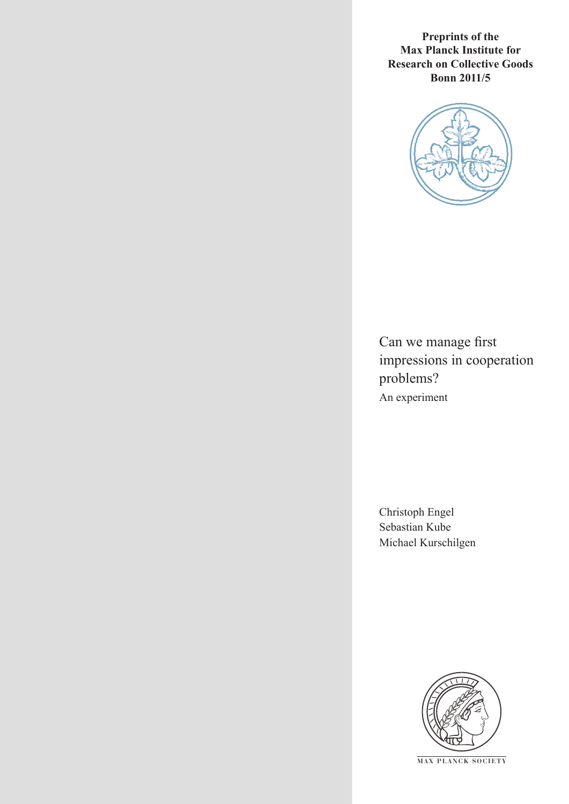**Preprints of the Max Planck Institute for Research on Collective Goods Bonn 2011/5**



Can we manage first impressions in cooperation problems? An experiment

Christoph Engel Sebastian Kube Michael Kurschilgen



**M AX PLANCK SOCIETY**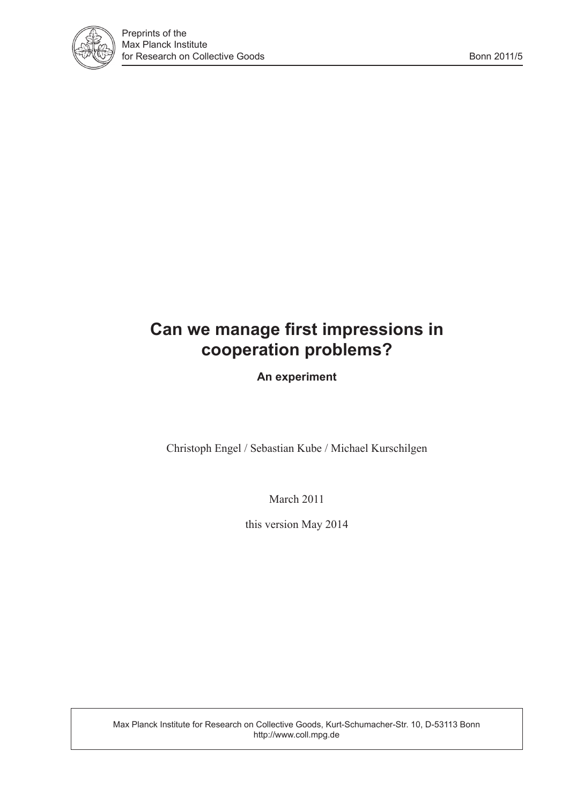

# **Can we manage first impressions in cooperation problems?**

**An experiment**

Christoph Engel / Sebastian Kube / Michael Kurschilgen

March 2011

this version May 2014

Max Planck Institute for Research on Collective Goods, Kurt-Schumacher-Str. 10, D-53113 Bonn http://www.coll.mpg.de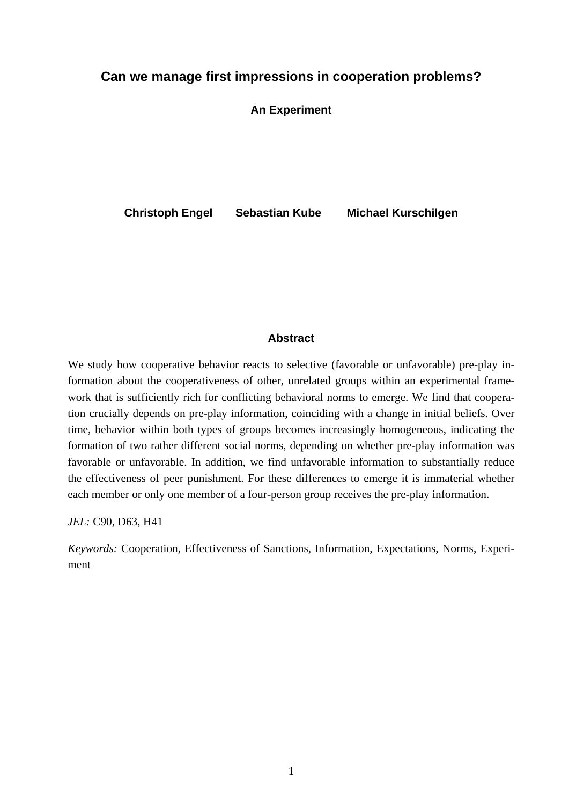### **Can we manage first impressions in cooperation problems?**

**An Experiment** 

**Christoph Engel Sebastian Kube Michael Kurschilgen** 

#### **Abstract**

We study how cooperative behavior reacts to selective (favorable or unfavorable) pre-play information about the cooperativeness of other, unrelated groups within an experimental framework that is sufficiently rich for conflicting behavioral norms to emerge. We find that cooperation crucially depends on pre-play information, coinciding with a change in initial beliefs. Over time, behavior within both types of groups becomes increasingly homogeneous, indicating the formation of two rather different social norms, depending on whether pre-play information was favorable or unfavorable. In addition, we find unfavorable information to substantially reduce the effectiveness of peer punishment. For these differences to emerge it is immaterial whether each member or only one member of a four-person group receives the pre-play information.

*JEL:* C90, D63, H41

*Keywords:* Cooperation, Effectiveness of Sanctions, Information, Expectations, Norms, Experiment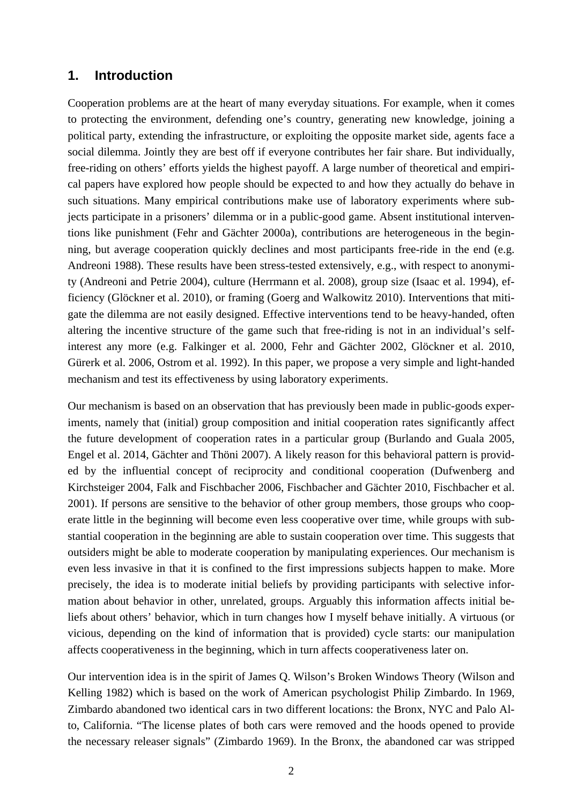### **1. Introduction**

Cooperation problems are at the heart of many everyday situations. For example, when it comes to protecting the environment, defending one's country, generating new knowledge, joining a political party, extending the infrastructure, or exploiting the opposite market side, agents face a social dilemma. Jointly they are best off if everyone contributes her fair share. But individually, free-riding on others' efforts yields the highest payoff. A large number of theoretical and empirical papers have explored how people should be expected to and how they actually do behave in such situations. Many empirical contributions make use of laboratory experiments where subjects participate in a prisoners' dilemma or in a public-good game. Absent institutional interventions like punishment (Fehr and Gächter 2000a), contributions are heterogeneous in the beginning, but average cooperation quickly declines and most participants free-ride in the end (e.g. Andreoni 1988). These results have been stress-tested extensively, e.g., with respect to anonymity (Andreoni and Petrie 2004), culture (Herrmann et al. 2008), group size (Isaac et al. 1994), efficiency (Glöckner et al. 2010), or framing (Goerg and Walkowitz 2010). Interventions that mitigate the dilemma are not easily designed. Effective interventions tend to be heavy-handed, often altering the incentive structure of the game such that free-riding is not in an individual's selfinterest any more (e.g. Falkinger et al. 2000, Fehr and Gächter 2002, Glöckner et al. 2010, Gürerk et al. 2006, Ostrom et al. 1992). In this paper, we propose a very simple and light-handed mechanism and test its effectiveness by using laboratory experiments.

Our mechanism is based on an observation that has previously been made in public-goods experiments, namely that (initial) group composition and initial cooperation rates significantly affect the future development of cooperation rates in a particular group (Burlando and Guala 2005, Engel et al. 2014, Gächter and Thöni 2007). A likely reason for this behavioral pattern is provided by the influential concept of reciprocity and conditional cooperation (Dufwenberg and Kirchsteiger 2004, Falk and Fischbacher 2006, Fischbacher and Gächter 2010, Fischbacher et al. 2001). If persons are sensitive to the behavior of other group members, those groups who cooperate little in the beginning will become even less cooperative over time, while groups with substantial cooperation in the beginning are able to sustain cooperation over time. This suggests that outsiders might be able to moderate cooperation by manipulating experiences. Our mechanism is even less invasive in that it is confined to the first impressions subjects happen to make. More precisely, the idea is to moderate initial beliefs by providing participants with selective information about behavior in other, unrelated, groups. Arguably this information affects initial beliefs about others' behavior, which in turn changes how I myself behave initially. A virtuous (or vicious, depending on the kind of information that is provided) cycle starts: our manipulation affects cooperativeness in the beginning, which in turn affects cooperativeness later on.

Our intervention idea is in the spirit of James Q. Wilson's Broken Windows Theory (Wilson and Kelling 1982) which is based on the work of American psychologist Philip Zimbardo. In 1969, Zimbardo abandoned two identical cars in two different locations: the Bronx, NYC and Palo Alto, California. "The license plates of both cars were removed and the hoods opened to provide the necessary releaser signals" (Zimbardo 1969). In the Bronx, the abandoned car was stripped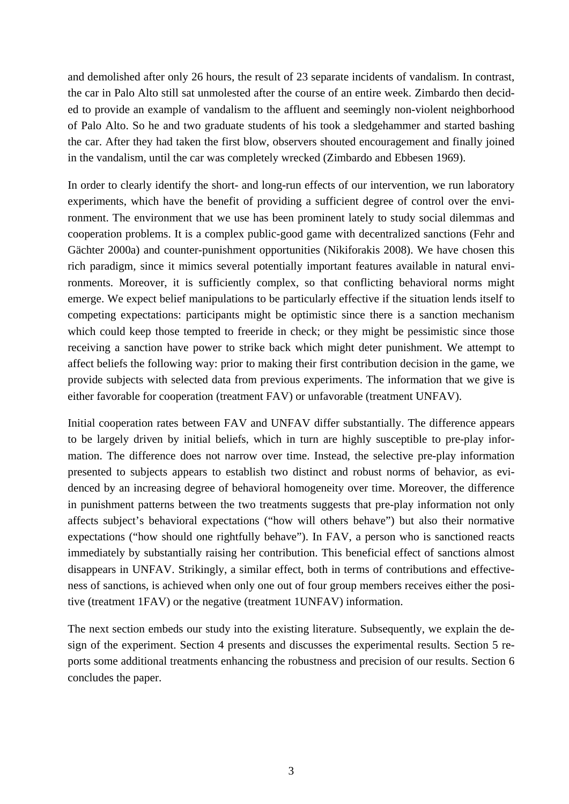and demolished after only 26 hours, the result of 23 separate incidents of vandalism. In contrast, the car in Palo Alto still sat unmolested after the course of an entire week. Zimbardo then decided to provide an example of vandalism to the affluent and seemingly non-violent neighborhood of Palo Alto. So he and two graduate students of his took a sledgehammer and started bashing the car. After they had taken the first blow, observers shouted encouragement and finally joined in the vandalism, until the car was completely wrecked (Zimbardo and Ebbesen 1969).

In order to clearly identify the short- and long-run effects of our intervention, we run laboratory experiments, which have the benefit of providing a sufficient degree of control over the environment. The environment that we use has been prominent lately to study social dilemmas and cooperation problems. It is a complex public-good game with decentralized sanctions (Fehr and Gächter 2000a) and counter-punishment opportunities (Nikiforakis 2008). We have chosen this rich paradigm, since it mimics several potentially important features available in natural environments. Moreover, it is sufficiently complex, so that conflicting behavioral norms might emerge. We expect belief manipulations to be particularly effective if the situation lends itself to competing expectations: participants might be optimistic since there is a sanction mechanism which could keep those tempted to freeride in check; or they might be pessimistic since those receiving a sanction have power to strike back which might deter punishment. We attempt to affect beliefs the following way: prior to making their first contribution decision in the game, we provide subjects with selected data from previous experiments. The information that we give is either favorable for cooperation (treatment FAV) or unfavorable (treatment UNFAV).

Initial cooperation rates between FAV and UNFAV differ substantially. The difference appears to be largely driven by initial beliefs, which in turn are highly susceptible to pre-play information. The difference does not narrow over time. Instead, the selective pre-play information presented to subjects appears to establish two distinct and robust norms of behavior, as evidenced by an increasing degree of behavioral homogeneity over time. Moreover, the difference in punishment patterns between the two treatments suggests that pre-play information not only affects subject's behavioral expectations ("how will others behave") but also their normative expectations ("how should one rightfully behave"). In FAV, a person who is sanctioned reacts immediately by substantially raising her contribution. This beneficial effect of sanctions almost disappears in UNFAV. Strikingly, a similar effect, both in terms of contributions and effectiveness of sanctions, is achieved when only one out of four group members receives either the positive (treatment 1FAV) or the negative (treatment 1UNFAV) information.

The next section embeds our study into the existing literature. Subsequently, we explain the design of the experiment. Section 4 presents and discusses the experimental results. Section 5 reports some additional treatments enhancing the robustness and precision of our results. Section 6 concludes the paper.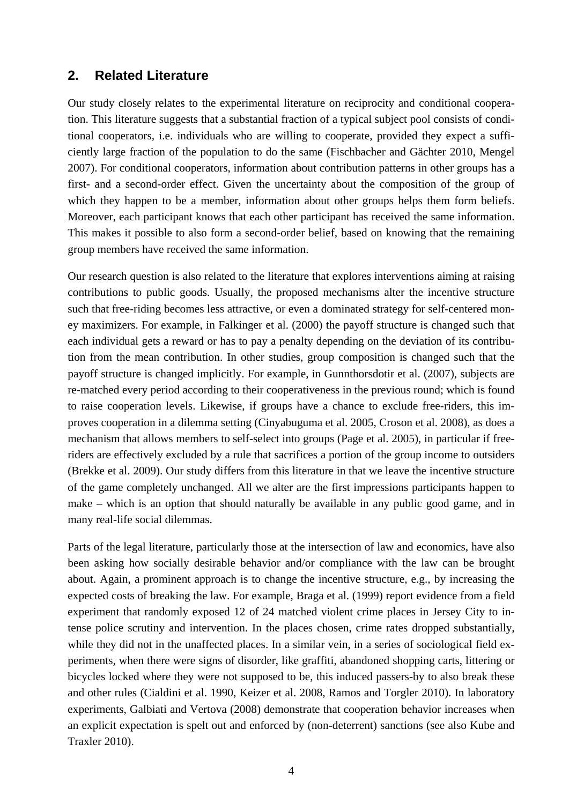### **2. Related Literature**

Our study closely relates to the experimental literature on reciprocity and conditional cooperation. This literature suggests that a substantial fraction of a typical subject pool consists of conditional cooperators, i.e. individuals who are willing to cooperate, provided they expect a sufficiently large fraction of the population to do the same (Fischbacher and Gächter 2010, Mengel 2007). For conditional cooperators, information about contribution patterns in other groups has a first- and a second-order effect. Given the uncertainty about the composition of the group of which they happen to be a member, information about other groups helps them form beliefs. Moreover, each participant knows that each other participant has received the same information. This makes it possible to also form a second-order belief, based on knowing that the remaining group members have received the same information.

Our research question is also related to the literature that explores interventions aiming at raising contributions to public goods. Usually, the proposed mechanisms alter the incentive structure such that free-riding becomes less attractive, or even a dominated strategy for self-centered money maximizers. For example, in Falkinger et al. (2000) the payoff structure is changed such that each individual gets a reward or has to pay a penalty depending on the deviation of its contribution from the mean contribution. In other studies, group composition is changed such that the payoff structure is changed implicitly. For example, in Gunnthorsdotir et al. (2007), subjects are re-matched every period according to their cooperativeness in the previous round; which is found to raise cooperation levels. Likewise, if groups have a chance to exclude free-riders, this improves cooperation in a dilemma setting (Cinyabuguma et al. 2005, Croson et al. 2008), as does a mechanism that allows members to self-select into groups (Page et al. 2005), in particular if freeriders are effectively excluded by a rule that sacrifices a portion of the group income to outsiders (Brekke et al. 2009). Our study differs from this literature in that we leave the incentive structure of the game completely unchanged. All we alter are the first impressions participants happen to make – which is an option that should naturally be available in any public good game, and in many real-life social dilemmas.

Parts of the legal literature, particularly those at the intersection of law and economics, have also been asking how socially desirable behavior and/or compliance with the law can be brought about. Again, a prominent approach is to change the incentive structure, e.g., by increasing the expected costs of breaking the law. For example, Braga et al. (1999) report evidence from a field experiment that randomly exposed 12 of 24 matched violent crime places in Jersey City to intense police scrutiny and intervention. In the places chosen, crime rates dropped substantially, while they did not in the unaffected places. In a similar vein, in a series of sociological field experiments, when there were signs of disorder, like graffiti, abandoned shopping carts, littering or bicycles locked where they were not supposed to be, this induced passers-by to also break these and other rules (Cialdini et al. 1990, Keizer et al. 2008, Ramos and Torgler 2010). In laboratory experiments, Galbiati and Vertova (2008) demonstrate that cooperation behavior increases when an explicit expectation is spelt out and enforced by (non-deterrent) sanctions (see also Kube and Traxler 2010).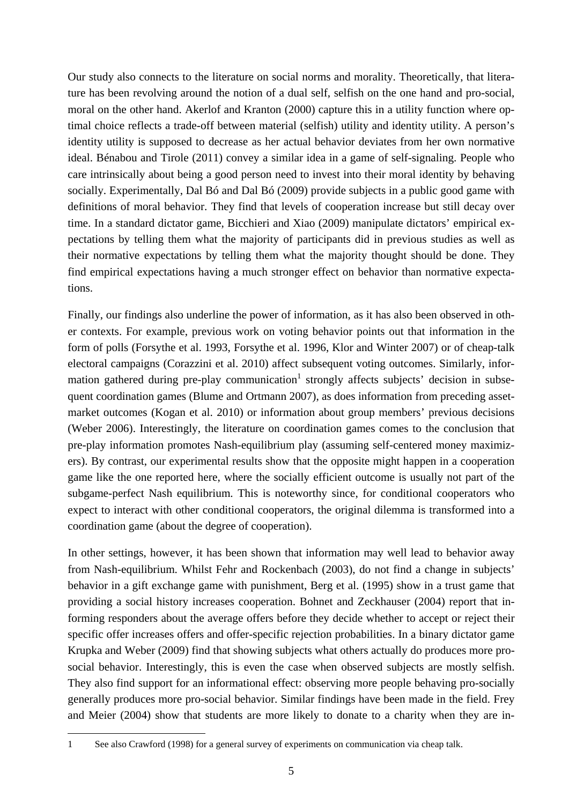Our study also connects to the literature on social norms and morality. Theoretically, that literature has been revolving around the notion of a dual self, selfish on the one hand and pro-social, moral on the other hand. Akerlof and Kranton (2000) capture this in a utility function where optimal choice reflects a trade-off between material (selfish) utility and identity utility. A person's identity utility is supposed to decrease as her actual behavior deviates from her own normative ideal. Bénabou and Tirole (2011) convey a similar idea in a game of self-signaling. People who care intrinsically about being a good person need to invest into their moral identity by behaving socially. Experimentally, Dal Bó and Dal Bó (2009) provide subjects in a public good game with definitions of moral behavior. They find that levels of cooperation increase but still decay over time. In a standard dictator game, Bicchieri and Xiao (2009) manipulate dictators' empirical expectations by telling them what the majority of participants did in previous studies as well as their normative expectations by telling them what the majority thought should be done. They find empirical expectations having a much stronger effect on behavior than normative expectations.

Finally, our findings also underline the power of information, as it has also been observed in other contexts. For example, previous work on voting behavior points out that information in the form of polls (Forsythe et al. 1993, Forsythe et al. 1996, Klor and Winter 2007) or of cheap-talk electoral campaigns (Corazzini et al. 2010) affect subsequent voting outcomes. Similarly, information gathered during pre-play communication<sup>1</sup> strongly affects subjects' decision in subsequent coordination games (Blume and Ortmann 2007), as does information from preceding assetmarket outcomes (Kogan et al. 2010) or information about group members' previous decisions (Weber 2006). Interestingly, the literature on coordination games comes to the conclusion that pre-play information promotes Nash-equilibrium play (assuming self-centered money maximizers). By contrast, our experimental results show that the opposite might happen in a cooperation game like the one reported here, where the socially efficient outcome is usually not part of the subgame-perfect Nash equilibrium. This is noteworthy since, for conditional cooperators who expect to interact with other conditional cooperators, the original dilemma is transformed into a coordination game (about the degree of cooperation).

In other settings, however, it has been shown that information may well lead to behavior away from Nash-equilibrium. Whilst Fehr and Rockenbach (2003), do not find a change in subjects' behavior in a gift exchange game with punishment, Berg et al. (1995) show in a trust game that providing a social history increases cooperation. Bohnet and Zeckhauser (2004) report that informing responders about the average offers before they decide whether to accept or reject their specific offer increases offers and offer-specific rejection probabilities. In a binary dictator game Krupka and Weber (2009) find that showing subjects what others actually do produces more prosocial behavior. Interestingly, this is even the case when observed subjects are mostly selfish. They also find support for an informational effect: observing more people behaving pro-socially generally produces more pro-social behavior. Similar findings have been made in the field. Frey and Meier (2004) show that students are more likely to donate to a charity when they are in-

-

<sup>1</sup> See also Crawford (1998) for a general survey of experiments on communication via cheap talk.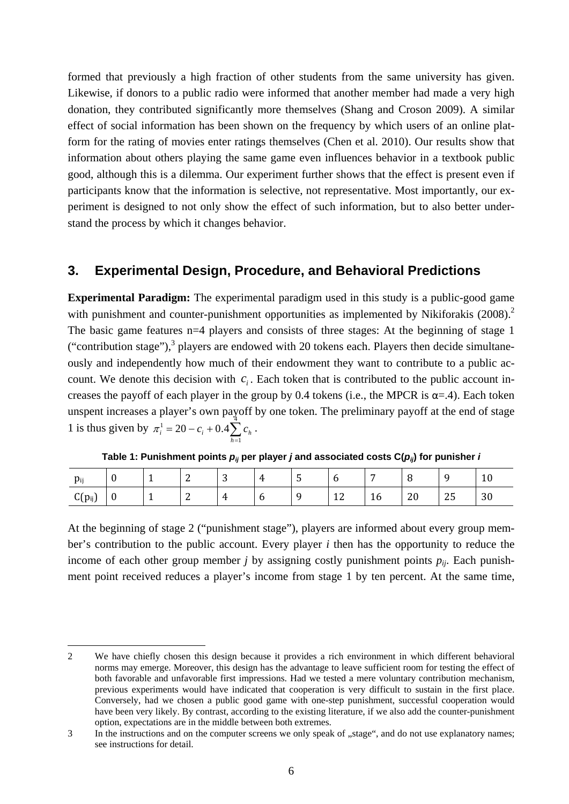formed that previously a high fraction of other students from the same university has given. Likewise, if donors to a public radio were informed that another member had made a very high donation, they contributed significantly more themselves (Shang and Croson 2009). A similar effect of social information has been shown on the frequency by which users of an online platform for the rating of movies enter ratings themselves (Chen et al. 2010). Our results show that information about others playing the same game even influences behavior in a textbook public good, although this is a dilemma. Our experiment further shows that the effect is present even if participants know that the information is selective, not representative. Most importantly, our experiment is designed to not only show the effect of such information, but to also better understand the process by which it changes behavior.

### **3. Experimental Design, Procedure, and Behavioral Predictions**

**Experimental Paradigm:** The experimental paradigm used in this study is a public-good game with punishment and counter-punishment opportunities as implemented by Nikiforakis (2008).<sup>2</sup> The basic game features n=4 players and consists of three stages: At the beginning of stage 1 ("contribution stage"), $3$  players are endowed with 20 tokens each. Players then decide simultaneously and independently how much of their endowment they want to contribute to a public account. We denote this decision with  $c_i$ . Each token that is contributed to the public account increases the payoff of each player in the group by 0.4 tokens (i.e., the MPCR is  $\alpha$ =.4). Each token unspent increases a player's own payoff by one token. The preliminary payoff at the end of stage 1 is thus given by  $\pi_i^1 = 20 - c_i + 0.4 \sum_{h=1}^{4}$ 1  $c_i^1 = 20 - c_i + 0.4$ *h*  $\pi_i^1 = 20 - c_i + 0.4 \sum c_h$ .

| $p_{ij}$    |   | $\overline{\phantom{a}}$ | $\sim$<br>∼ | $\sim$<br>ັ       | 4<br>$\overline{\phantom{a}}$ | -<br>ັ      | ັ           | -       |    |    | 10<br>ΙU |
|-------------|---|--------------------------|-------------|-------------------|-------------------------------|-------------|-------------|---------|----|----|----------|
| $C(p_{ij})$ | U | $\overline{\phantom{a}}$ | $\sim$<br>- | 4<br>$\mathbf{r}$ | ◡                             | $\mathbf C$ | $\sim$<br>ᅶ | ◢<br>10 | 20 | 25 | 30       |

**Table 1: Punishment points**  $p_{ij}$  **per player** *j* **and associated costs**  $C(p_{ij})$  **for punisher** *i* 

At the beginning of stage 2 ("punishment stage"), players are informed about every group member's contribution to the public account. Every player *i* then has the opportunity to reduce the income of each other group member *j* by assigning costly punishment points  $p_{ii}$ . Each punishment point received reduces a player's income from stage 1 by ten percent. At the same time,

<sup>-</sup>2 We have chiefly chosen this design because it provides a rich environment in which different behavioral norms may emerge. Moreover, this design has the advantage to leave sufficient room for testing the effect of both favorable and unfavorable first impressions. Had we tested a mere voluntary contribution mechanism, previous experiments would have indicated that cooperation is very difficult to sustain in the first place. Conversely, had we chosen a public good game with one-step punishment, successful cooperation would have been very likely. By contrast, according to the existing literature, if we also add the counter-punishment option, expectations are in the middle between both extremes.

<sup>3</sup> In the instructions and on the computer screens we only speak of "stage", and do not use explanatory names; see instructions for detail.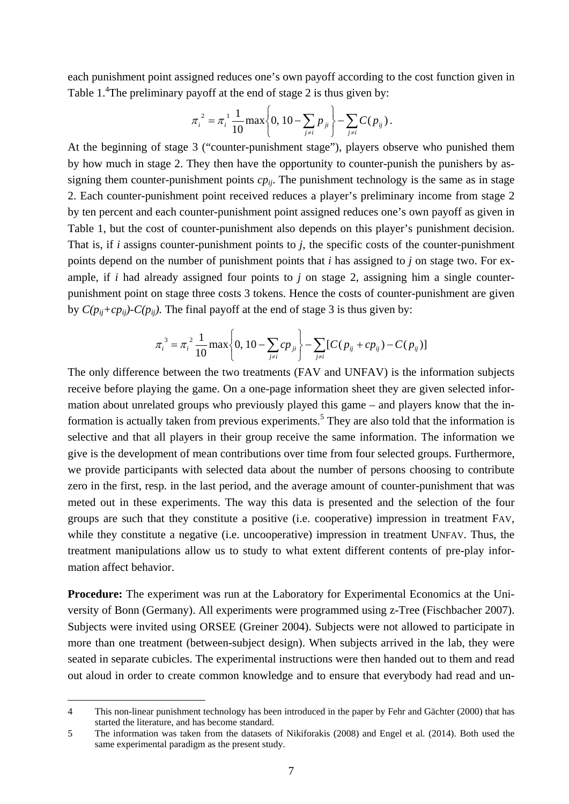each punishment point assigned reduces one's own payoff according to the cost function given in Table  $1.^4$ The preliminary payoff at the end of stage 2 is thus given by:

$$
\pi_i^2 = \pi_i^1 \frac{1}{10} \max \left\{ 0, 10 - \sum_{j \neq i} p_{ji} \right\} - \sum_{j \neq i} C(p_{ij}).
$$

At the beginning of stage 3 ("counter-punishment stage"), players observe who punished them by how much in stage 2. They then have the opportunity to counter-punish the punishers by assigning them counter-punishment points  $cp_{ij}$ . The punishment technology is the same as in stage 2. Each counter-punishment point received reduces a player's preliminary income from stage 2 by ten percent and each counter-punishment point assigned reduces one's own payoff as given in Table 1, but the cost of counter-punishment also depends on this player's punishment decision. That is, if *i* assigns counter-punishment points to *j*, the specific costs of the counter-punishment points depend on the number of punishment points that *i* has assigned to *j* on stage two. For example, if *i* had already assigned four points to *j* on stage 2, assigning him a single counterpunishment point on stage three costs 3 tokens. Hence the costs of counter-punishment are given by  $C(p_{ij}+cp_{ij})-C(p_{ij})$ . The final payoff at the end of stage 3 is thus given by:

$$
\pi_i^3 = \pi_i^2 \frac{1}{10} \max \left\{ 0, 10 - \sum_{j \neq i} c p_{ji} \right\} - \sum_{j \neq i} [C(p_{ij} + c p_{ij}) - C(p_{ij})]
$$

The only difference between the two treatments (FAV and UNFAV) is the information subjects receive before playing the game. On a one-page information sheet they are given selected information about unrelated groups who previously played this game – and players know that the information is actually taken from previous experiments.<sup>5</sup> They are also told that the information is selective and that all players in their group receive the same information. The information we give is the development of mean contributions over time from four selected groups. Furthermore, we provide participants with selected data about the number of persons choosing to contribute zero in the first, resp. in the last period, and the average amount of counter-punishment that was meted out in these experiments. The way this data is presented and the selection of the four groups are such that they constitute a positive (i.e. cooperative) impression in treatment FAV, while they constitute a negative (i.e. uncooperative) impression in treatment UNFAV. Thus, the treatment manipulations allow us to study to what extent different contents of pre-play information affect behavior.

**Procedure:** The experiment was run at the Laboratory for Experimental Economics at the University of Bonn (Germany). All experiments were programmed using z-Tree (Fischbacher 2007). Subjects were invited using ORSEE (Greiner 2004). Subjects were not allowed to participate in more than one treatment (between-subject design). When subjects arrived in the lab, they were seated in separate cubicles. The experimental instructions were then handed out to them and read out aloud in order to create common knowledge and to ensure that everybody had read and un-

-

<sup>4</sup> This non-linear punishment technology has been introduced in the paper by Fehr and Gächter (2000) that has started the literature, and has become standard.

<sup>5</sup> The information was taken from the datasets of Nikiforakis (2008) and Engel et al. (2014). Both used the same experimental paradigm as the present study.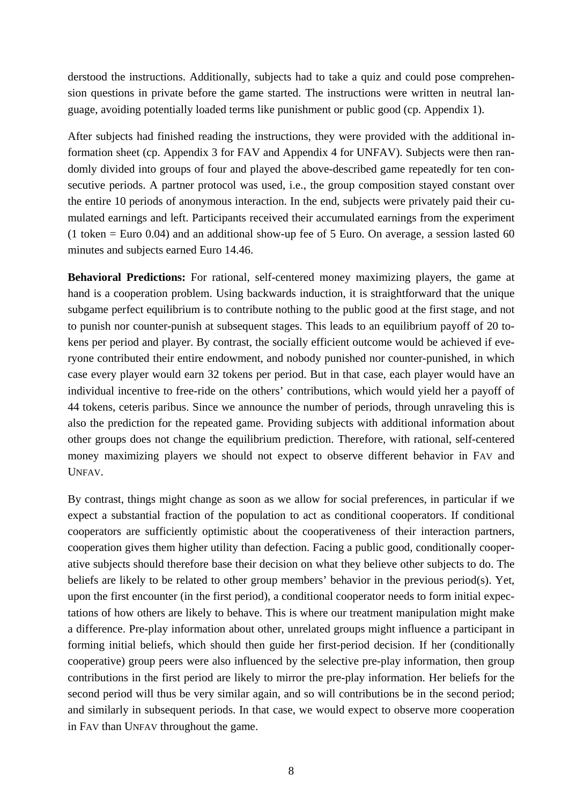derstood the instructions. Additionally, subjects had to take a quiz and could pose comprehension questions in private before the game started. The instructions were written in neutral language, avoiding potentially loaded terms like punishment or public good (cp. Appendix 1).

After subjects had finished reading the instructions, they were provided with the additional information sheet (cp. Appendix 3 for FAV and Appendix 4 for UNFAV). Subjects were then randomly divided into groups of four and played the above-described game repeatedly for ten consecutive periods. A partner protocol was used, i.e., the group composition stayed constant over the entire 10 periods of anonymous interaction. In the end, subjects were privately paid their cumulated earnings and left. Participants received their accumulated earnings from the experiment (1 token = Euro 0.04) and an additional show-up fee of 5 Euro. On average, a session lasted 60 minutes and subjects earned Euro 14.46.

**Behavioral Predictions:** For rational, self-centered money maximizing players, the game at hand is a cooperation problem. Using backwards induction, it is straightforward that the unique subgame perfect equilibrium is to contribute nothing to the public good at the first stage, and not to punish nor counter-punish at subsequent stages. This leads to an equilibrium payoff of 20 tokens per period and player. By contrast, the socially efficient outcome would be achieved if everyone contributed their entire endowment, and nobody punished nor counter-punished, in which case every player would earn 32 tokens per period. But in that case, each player would have an individual incentive to free-ride on the others' contributions, which would yield her a payoff of 44 tokens, ceteris paribus. Since we announce the number of periods, through unraveling this is also the prediction for the repeated game. Providing subjects with additional information about other groups does not change the equilibrium prediction. Therefore, with rational, self-centered money maximizing players we should not expect to observe different behavior in FAV and UNFAV.

By contrast, things might change as soon as we allow for social preferences, in particular if we expect a substantial fraction of the population to act as conditional cooperators. If conditional cooperators are sufficiently optimistic about the cooperativeness of their interaction partners, cooperation gives them higher utility than defection. Facing a public good, conditionally cooperative subjects should therefore base their decision on what they believe other subjects to do. The beliefs are likely to be related to other group members' behavior in the previous period(s). Yet, upon the first encounter (in the first period), a conditional cooperator needs to form initial expectations of how others are likely to behave. This is where our treatment manipulation might make a difference. Pre-play information about other, unrelated groups might influence a participant in forming initial beliefs, which should then guide her first-period decision. If her (conditionally cooperative) group peers were also influenced by the selective pre-play information, then group contributions in the first period are likely to mirror the pre-play information. Her beliefs for the second period will thus be very similar again, and so will contributions be in the second period; and similarly in subsequent periods. In that case, we would expect to observe more cooperation in FAV than UNFAV throughout the game.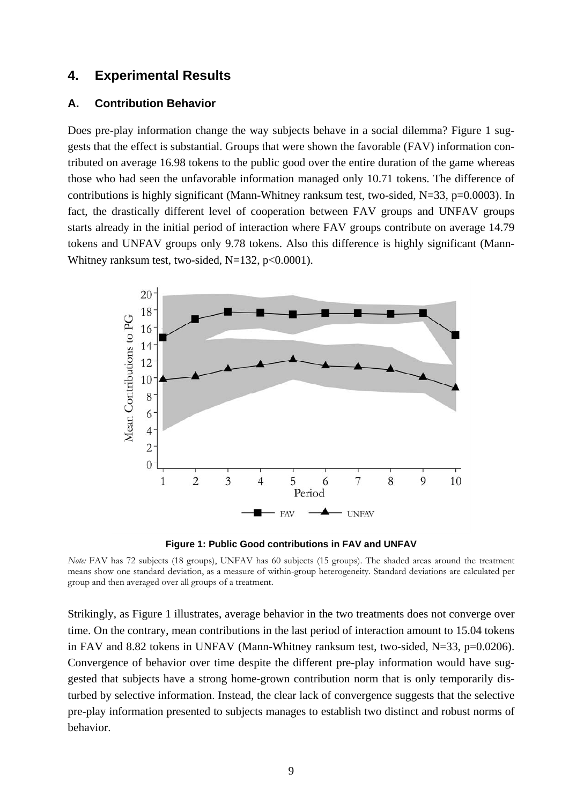### **4. Experimental Results**

#### **A. Contribution Behavior**

Does pre-play information change the way subjects behave in a social dilemma? Figure 1 suggests that the effect is substantial. Groups that were shown the favorable (FAV) information contributed on average 16.98 tokens to the public good over the entire duration of the game whereas those who had seen the unfavorable information managed only 10.71 tokens. The difference of contributions is highly significant (Mann-Whitney ranksum test, two-sided,  $N=33$ ,  $p=0.0003$ ). In fact, the drastically different level of cooperation between FAV groups and UNFAV groups starts already in the initial period of interaction where FAV groups contribute on average 14.79 tokens and UNFAV groups only 9.78 tokens. Also this difference is highly significant (Mann-Whitney ranksum test, two-sided,  $N=132$ ,  $p<0.0001$ ).



**Figure 1: Public Good contributions in FAV and UNFAV**

*Note:* FAV has 72 subjects (18 groups), UNFAV has 60 subjects (15 groups). The shaded areas around the treatment means show one standard deviation, as a measure of within-group heterogeneity. Standard deviations are calculated per group and then averaged over all groups of a treatment.

Strikingly, as Figure 1 illustrates, average behavior in the two treatments does not converge over time. On the contrary, mean contributions in the last period of interaction amount to 15.04 tokens in FAV and 8.82 tokens in UNFAV (Mann-Whitney ranksum test, two-sided, N=33, p=0.0206). Convergence of behavior over time despite the different pre-play information would have suggested that subjects have a strong home-grown contribution norm that is only temporarily disturbed by selective information. Instead, the clear lack of convergence suggests that the selective pre-play information presented to subjects manages to establish two distinct and robust norms of behavior.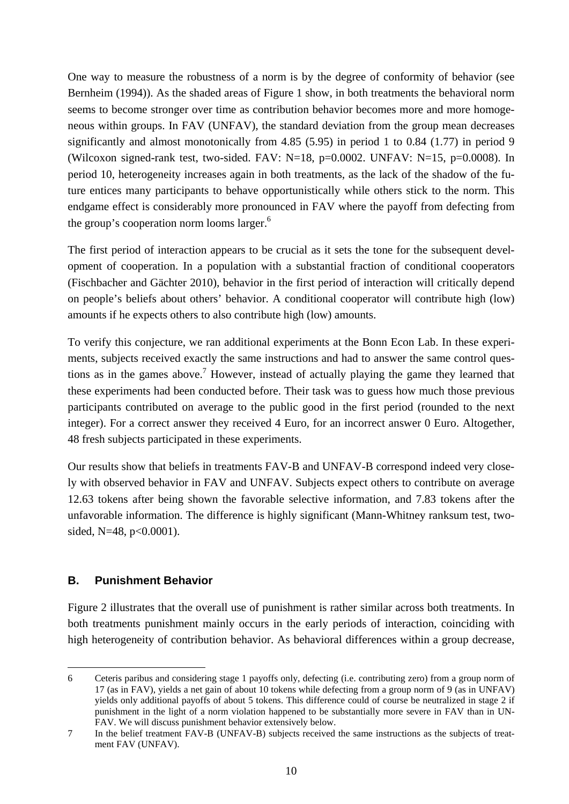One way to measure the robustness of a norm is by the degree of conformity of behavior (see Bernheim (1994)). As the shaded areas of Figure 1 show, in both treatments the behavioral norm seems to become stronger over time as contribution behavior becomes more and more homogeneous within groups. In FAV (UNFAV), the standard deviation from the group mean decreases significantly and almost monotonically from 4.85 (5.95) in period 1 to 0.84 (1.77) in period 9 (Wilcoxon signed-rank test, two-sided. FAV:  $N=18$ ,  $p=0.0002$ . UNFAV:  $N=15$ ,  $p=0.0008$ ). In period 10, heterogeneity increases again in both treatments, as the lack of the shadow of the future entices many participants to behave opportunistically while others stick to the norm. This endgame effect is considerably more pronounced in FAV where the payoff from defecting from the group's cooperation norm looms larger. $6$ 

The first period of interaction appears to be crucial as it sets the tone for the subsequent development of cooperation. In a population with a substantial fraction of conditional cooperators (Fischbacher and Gächter 2010), behavior in the first period of interaction will critically depend on people's beliefs about others' behavior. A conditional cooperator will contribute high (low) amounts if he expects others to also contribute high (low) amounts.

To verify this conjecture, we ran additional experiments at the Bonn Econ Lab. In these experiments, subjects received exactly the same instructions and had to answer the same control questions as in the games above.<sup>7</sup> However, instead of actually playing the game they learned that these experiments had been conducted before. Their task was to guess how much those previous participants contributed on average to the public good in the first period (rounded to the next integer). For a correct answer they received 4 Euro, for an incorrect answer 0 Euro. Altogether, 48 fresh subjects participated in these experiments.

Our results show that beliefs in treatments FAV-B and UNFAV-B correspond indeed very closely with observed behavior in FAV and UNFAV. Subjects expect others to contribute on average 12.63 tokens after being shown the favorable selective information, and 7.83 tokens after the unfavorable information. The difference is highly significant (Mann-Whitney ranksum test, twosided, N=48, p<0.0001).

#### **B. Punishment Behavior**

-

Figure 2 illustrates that the overall use of punishment is rather similar across both treatments. In both treatments punishment mainly occurs in the early periods of interaction, coinciding with high heterogeneity of contribution behavior. As behavioral differences within a group decrease,

<sup>6</sup> Ceteris paribus and considering stage 1 payoffs only, defecting (i.e. contributing zero) from a group norm of 17 (as in FAV), yields a net gain of about 10 tokens while defecting from a group norm of 9 (as in UNFAV) yields only additional payoffs of about 5 tokens. This difference could of course be neutralized in stage 2 if punishment in the light of a norm violation happened to be substantially more severe in FAV than in UN-FAV. We will discuss punishment behavior extensively below.

<sup>7</sup> In the belief treatment FAV-B (UNFAV-B) subjects received the same instructions as the subjects of treatment FAV (UNFAV).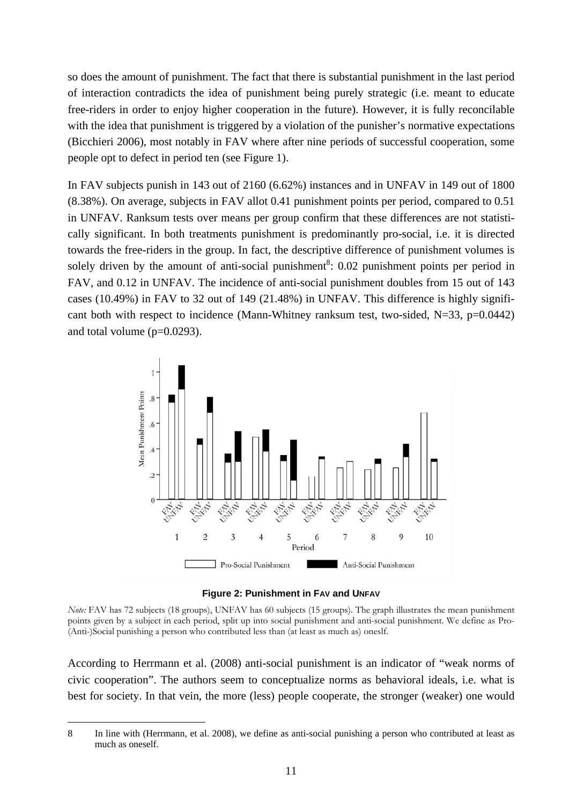so does the amount of punishment. The fact that there is substantial punishment in the last period of interaction contradicts the idea of punishment being purely strategic (i.e. meant to educate free-riders in order to enjoy higher cooperation in the future). However, it is fully reconcilable with the idea that punishment is triggered by a violation of the punisher's normative expectations (Bicchieri 2006), most notably in FAV where after nine periods of successful cooperation, some people opt to defect in period ten (see Figure 1).

In FAV subjects punish in 143 out of 2160 (6.62%) instances and in UNFAV in 149 out of 1800 (8.38%). On average, subjects in FAV allot 0.41 punishment points per period, compared to 0.51 in UNFAV. Ranksum tests over means per group confirm that these differences are not statistically significant. In both treatments punishment is predominantly pro-social, i.e. it is directed towards the free-riders in the group. In fact, the descriptive difference of punishment volumes is solely driven by the amount of anti-social punishment<sup>8</sup>:  $0.02$  punishment points per period in FAV, and 0.12 in UNFAV. The incidence of anti-social punishment doubles from 15 out of 143 cases (10.49%) in FAV to 32 out of 149 (21.48%) in UNFAV. This difference is highly significant both with respect to incidence (Mann-Whitney ranksum test, two-sided,  $N=33$ ,  $p=0.0442$ ) and total volume  $(p=0.0293)$ .



**Figure 2: Punishment in FAV and UNFAV**

*Note:* FAV has 72 subjects (18 groups), UNFAV has 60 subjects (15 groups). The graph illustrates the mean punishment points given by a subject in each period, split up into social punishment and anti-social punishment. We define as Pro- (Anti-)Social punishing a person who contributed less than (at least as much as) oneslf.

According to Herrmann et al. (2008) anti-social punishment is an indicator of "weak norms of civic cooperation". The authors seem to conceptualize norms as behavioral ideals, i.e. what is best for society. In that vein, the more (less) people cooperate, the stronger (weaker) one would

-

<sup>8</sup> In line with (Herrmann, et al. 2008), we define as anti-social punishing a person who contributed at least as much as oneself.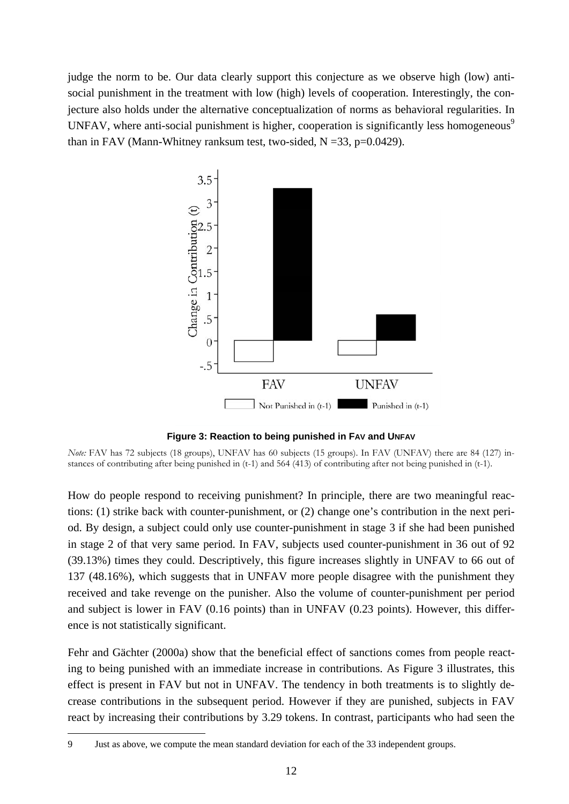judge the norm to be. Our data clearly support this conjecture as we observe high (low) antisocial punishment in the treatment with low (high) levels of cooperation. Interestingly, the conjecture also holds under the alternative conceptualization of norms as behavioral regularities. In UNFAV, where anti-social punishment is higher, cooperation is significantly less homogeneous<sup>9</sup> than in FAV (Mann-Whitney ranksum test, two-sided,  $N = 33$ ,  $p=0.0429$ ).



**Figure 3: Reaction to being punished in FAV and UNFAV**

*Note:* FAV has 72 subjects (18 groups), UNFAV has 60 subjects (15 groups). In FAV (UNFAV) there are 84 (127) instances of contributing after being punished in (t-1) and 564 (413) of contributing after not being punished in (t-1).

How do people respond to receiving punishment? In principle, there are two meaningful reactions: (1) strike back with counter-punishment, or (2) change one's contribution in the next period. By design, a subject could only use counter-punishment in stage 3 if she had been punished in stage 2 of that very same period. In FAV, subjects used counter-punishment in 36 out of 92 (39.13%) times they could. Descriptively, this figure increases slightly in UNFAV to 66 out of 137 (48.16%), which suggests that in UNFAV more people disagree with the punishment they received and take revenge on the punisher. Also the volume of counter-punishment per period and subject is lower in FAV (0.16 points) than in UNFAV (0.23 points). However, this difference is not statistically significant.

Fehr and Gächter (2000a) show that the beneficial effect of sanctions comes from people reacting to being punished with an immediate increase in contributions. As Figure 3 illustrates, this effect is present in FAV but not in UNFAV. The tendency in both treatments is to slightly decrease contributions in the subsequent period. However if they are punished, subjects in FAV react by increasing their contributions by 3.29 tokens. In contrast, participants who had seen the

-

<sup>9</sup> Just as above, we compute the mean standard deviation for each of the 33 independent groups.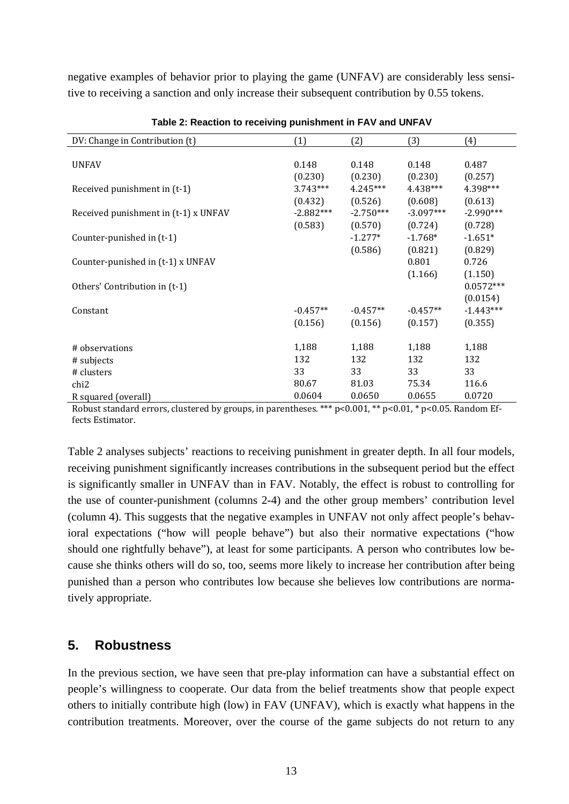negative examples of behavior prior to playing the game (UNFAV) are considerably less sensitive to receiving a sanction and only increase their subsequent contribution by 0.55 tokens.

| (1)         | (2)         | (3)                | (4)                                                  |
|-------------|-------------|--------------------|------------------------------------------------------|
|             |             |                    |                                                      |
| 0.148       | 0.148       | 0.148              | 0.487                                                |
| (0.230)     | (0.230)     | (0.230)            | (0.257)                                              |
| $3.743***$  | $4.245***$  | 4.438***           | 4.398***                                             |
| (0.432)     | (0.526)     | (0.608)            | (0.613)                                              |
| $-2.882***$ | $-2.750***$ | $-3.097***$        | $-2.990***$                                          |
|             |             |                    | (0.728)                                              |
|             | $-1.277*$   | $-1.768*$          | $-1.651*$                                            |
|             |             |                    | (0.829)                                              |
|             |             |                    | 0.726                                                |
|             |             |                    | (1.150)                                              |
|             |             |                    | $0.0572***$                                          |
|             |             |                    | (0.0154)                                             |
| $-0.457**$  | $-0.457**$  |                    | $-1.443***$                                          |
| (0.156)     | (0.156)     | (0.157)            | (0.355)                                              |
|             |             |                    |                                                      |
| 1,188       | 1,188       | 1,188              | 1,188                                                |
| 132         | 132         | 132                | 132                                                  |
| 33          | 33          | 33                 | 33                                                   |
| 80.67       | 81.03       | 75.34              | 116.6                                                |
| 0.0604      | 0.0650      | 0.0655             | 0.0720                                               |
|             | (0.583)     | (0.570)<br>(0.586) | (0.724)<br>(0.821)<br>0.801<br>(1.166)<br>$-0.457**$ |

**Table 2: Reaction to receiving punishment in FAV and UNFAV** 

Robust standard errors, clustered by groups, in parentheses. \*\*\*  $p<0.001$ , \*\*  $p<0.01$ , \*  $p<0.05$ . Random Effects Estimator.

Table 2 analyses subjects' reactions to receiving punishment in greater depth. In all four models, receiving punishment significantly increases contributions in the subsequent period but the effect is significantly smaller in UNFAV than in FAV. Notably, the effect is robust to controlling for the use of counter-punishment (columns 2-4) and the other group members' contribution level (column 4). This suggests that the negative examples in UNFAV not only affect people's behavioral expectations ("how will people behave") but also their normative expectations ("how should one rightfully behave"), at least for some participants. A person who contributes low because she thinks others will do so, too, seems more likely to increase her contribution after being punished than a person who contributes low because she believes low contributions are normatively appropriate.

### **5. Robustness**

In the previous section, we have seen that pre-play information can have a substantial effect on people's willingness to cooperate. Our data from the belief treatments show that people expect others to initially contribute high (low) in FAV (UNFAV), which is exactly what happens in the contribution treatments. Moreover, over the course of the game subjects do not return to any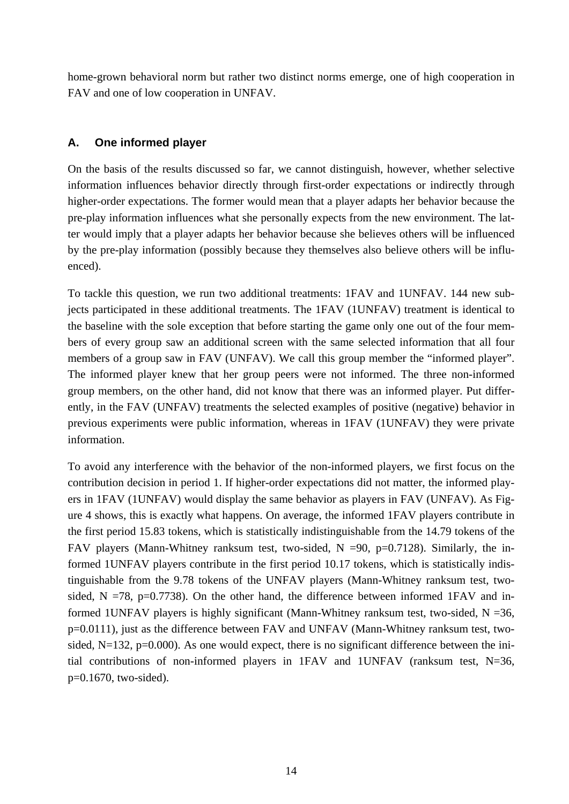home-grown behavioral norm but rather two distinct norms emerge, one of high cooperation in FAV and one of low cooperation in UNFAV.

#### **A. One informed player**

On the basis of the results discussed so far, we cannot distinguish, however, whether selective information influences behavior directly through first-order expectations or indirectly through higher-order expectations. The former would mean that a player adapts her behavior because the pre-play information influences what she personally expects from the new environment. The latter would imply that a player adapts her behavior because she believes others will be influenced by the pre-play information (possibly because they themselves also believe others will be influenced).

To tackle this question, we run two additional treatments: 1FAV and 1UNFAV. 144 new subjects participated in these additional treatments. The 1FAV (1UNFAV) treatment is identical to the baseline with the sole exception that before starting the game only one out of the four members of every group saw an additional screen with the same selected information that all four members of a group saw in FAV (UNFAV). We call this group member the "informed player". The informed player knew that her group peers were not informed. The three non-informed group members, on the other hand, did not know that there was an informed player. Put differently, in the FAV (UNFAV) treatments the selected examples of positive (negative) behavior in previous experiments were public information, whereas in 1FAV (1UNFAV) they were private information.

To avoid any interference with the behavior of the non-informed players, we first focus on the contribution decision in period 1. If higher-order expectations did not matter, the informed players in 1FAV (1UNFAV) would display the same behavior as players in FAV (UNFAV). As Figure 4 shows, this is exactly what happens. On average, the informed 1FAV players contribute in the first period 15.83 tokens, which is statistically indistinguishable from the 14.79 tokens of the FAV players (Mann-Whitney ranksum test, two-sided,  $N = 90$ , p=0.7128). Similarly, the informed 1UNFAV players contribute in the first period 10.17 tokens, which is statistically indistinguishable from the 9.78 tokens of the UNFAV players (Mann-Whitney ranksum test, twosided,  $N = 78$ , p=0.7738). On the other hand, the difference between informed 1FAV and informed 1UNFAV players is highly significant (Mann-Whitney ranksum test, two-sided,  $N = 36$ , p=0.0111), just as the difference between FAV and UNFAV (Mann-Whitney ranksum test, twosided,  $N=132$ ,  $p=0.000$ ). As one would expect, there is no significant difference between the initial contributions of non-informed players in 1FAV and 1UNFAV (ranksum test,  $N=36$ , p=0.1670, two-sided).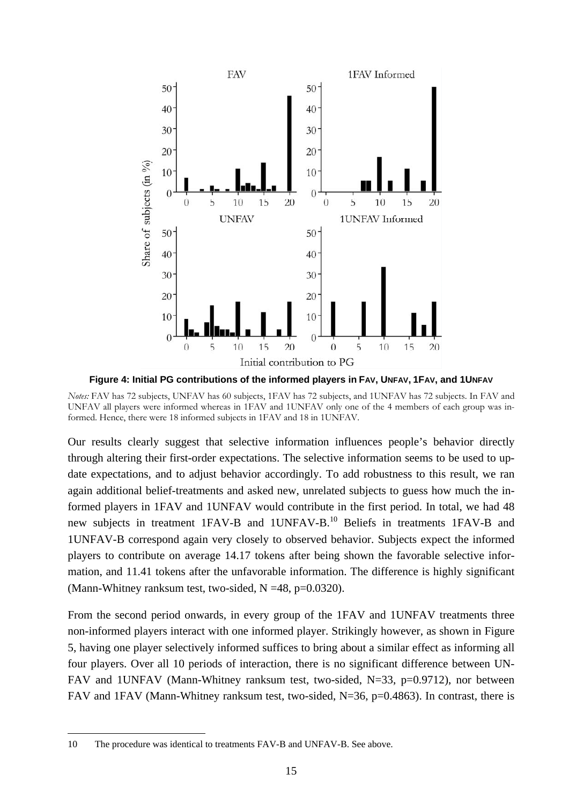

**Figure 4: Initial PG contributions of the informed players in FAV, UNFAV, 1FAV, and 1UNFAV**

*Notes:* FAV has 72 subjects, UNFAV has 60 subjects, 1FAV has 72 subjects, and 1UNFAV has 72 subjects. In FAV and UNFAV all players were informed whereas in 1FAV and 1UNFAV only one of the 4 members of each group was informed. Hence, there were 18 informed subjects in 1FAV and 18 in 1UNFAV.

Our results clearly suggest that selective information influences people's behavior directly through altering their first-order expectations. The selective information seems to be used to update expectations, and to adjust behavior accordingly. To add robustness to this result, we ran again additional belief-treatments and asked new, unrelated subjects to guess how much the informed players in 1FAV and 1UNFAV would contribute in the first period. In total, we had 48 new subjects in treatment 1FAV-B and 1UNFAV-B.10 Beliefs in treatments 1FAV-B and 1UNFAV-B correspond again very closely to observed behavior. Subjects expect the informed players to contribute on average 14.17 tokens after being shown the favorable selective information, and 11.41 tokens after the unfavorable information. The difference is highly significant (Mann-Whitney ranksum test, two-sided,  $N = 48$ ,  $p = 0.0320$ ).

From the second period onwards, in every group of the 1FAV and 1UNFAV treatments three non-informed players interact with one informed player. Strikingly however, as shown in Figure 5, having one player selectively informed suffices to bring about a similar effect as informing all four players. Over all 10 periods of interaction, there is no significant difference between UN-FAV and 1UNFAV (Mann-Whitney ranksum test, two-sided, N=33, p=0.9712), nor between FAV and 1FAV (Mann-Whitney ranksum test, two-sided, N=36, p=0.4863). In contrast, there is

-

<sup>10</sup> The procedure was identical to treatments FAV-B and UNFAV-B. See above.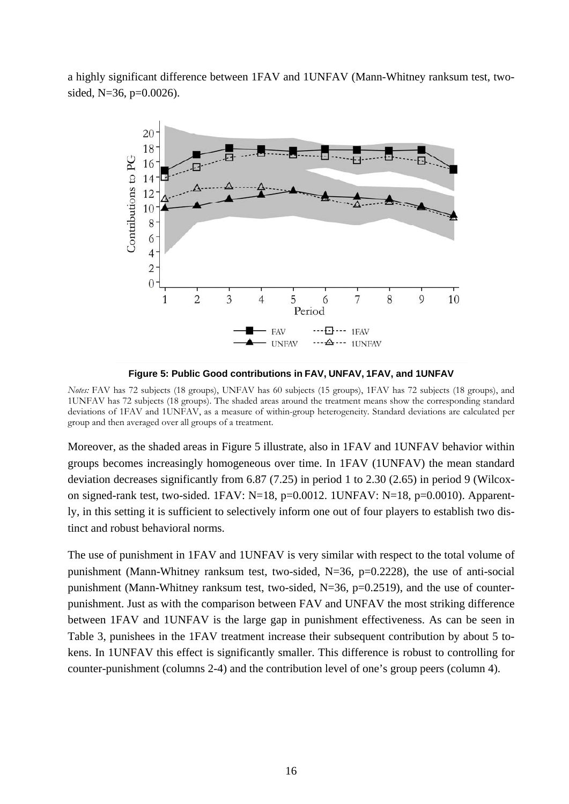a highly significant difference between 1FAV and 1UNFAV (Mann-Whitney ranksum test, twosided,  $N=36$ ,  $p=0.0026$ ).



**Figure 5: Public Good contributions in FAV, UNFAV, 1FAV, and 1UNFAV**

*Notes:* FAV has 72 subjects (18 groups), UNFAV has 60 subjects (15 groups), 1FAV has 72 subjects (18 groups), and 1UNFAV has 72 subjects (18 groups). The shaded areas around the treatment means show the corresponding standard deviations of 1FAV and 1UNFAV, as a measure of within-group heterogeneity. Standard deviations are calculated per group and then averaged over all groups of a treatment.

Moreover, as the shaded areas in Figure 5 illustrate, also in 1FAV and 1UNFAV behavior within groups becomes increasingly homogeneous over time. In 1FAV (1UNFAV) the mean standard deviation decreases significantly from 6.87 (7.25) in period 1 to 2.30 (2.65) in period 9 (Wilcoxon signed-rank test, two-sided. 1FAV:  $N=18$ ,  $p=0.0012$ . 1UNFAV:  $N=18$ ,  $p=0.0010$ ). Apparently, in this setting it is sufficient to selectively inform one out of four players to establish two distinct and robust behavioral norms.

The use of punishment in 1FAV and 1UNFAV is very similar with respect to the total volume of punishment (Mann-Whitney ranksum test, two-sided, N=36, p=0.2228), the use of anti-social punishment (Mann-Whitney ranksum test, two-sided, N=36, p=0.2519), and the use of counterpunishment. Just as with the comparison between FAV and UNFAV the most striking difference between 1FAV and 1UNFAV is the large gap in punishment effectiveness. As can be seen in Table 3, punishees in the 1FAV treatment increase their subsequent contribution by about 5 tokens. In 1UNFAV this effect is significantly smaller. This difference is robust to controlling for counter-punishment (columns 2-4) and the contribution level of one's group peers (column 4).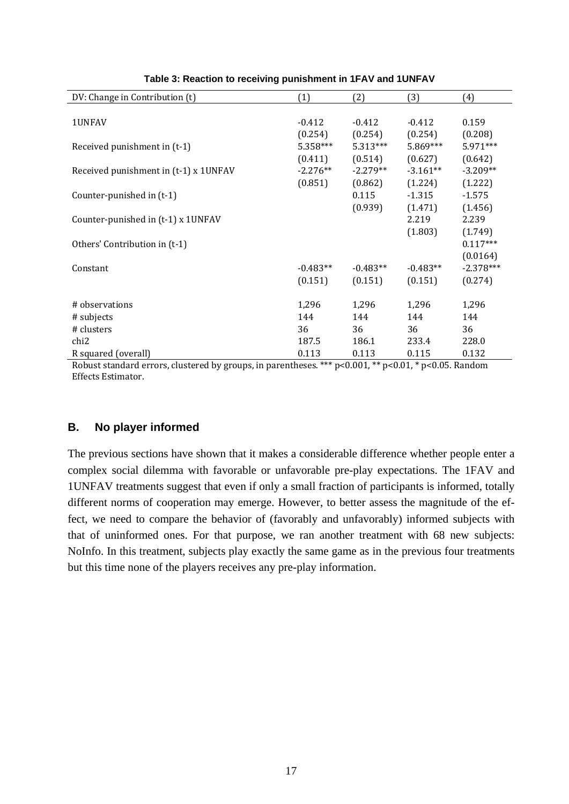| DV: Change in Contribution (t)        | (1)        | (2)        | (3)        | (4)         |
|---------------------------------------|------------|------------|------------|-------------|
|                                       |            |            |            |             |
| 1UNFAV                                | $-0.412$   | $-0.412$   | $-0.412$   | 0.159       |
|                                       | (0.254)    | (0.254)    | (0.254)    | (0.208)     |
| Received punishment in (t-1)          | 5.358***   | $5.313***$ | 5.869***   | 5.971***    |
|                                       | (0.411)    | (0.514)    | (0.627)    | (0.642)     |
| Received punishment in (t-1) x 1UNFAV | $-2.276**$ | $-2.279**$ | $-3.161**$ | $-3.209**$  |
|                                       | (0.851)    | (0.862)    | (1.224)    | (1.222)     |
| Counter-punished in (t-1)             |            | 0.115      | $-1.315$   | $-1.575$    |
|                                       |            | (0.939)    | (1.471)    | (1.456)     |
| Counter-punished in (t-1) x 1UNFAV    |            |            | 2.219      | 2.239       |
|                                       |            |            | (1.803)    | (1.749)     |
| Others' Contribution in (t-1)         |            |            |            | $0.117***$  |
|                                       |            |            |            | (0.0164)    |
| Constant                              | $-0.483**$ | $-0.483**$ | $-0.483**$ | $-2.378***$ |
|                                       | (0.151)    | (0.151)    | (0.151)    | (0.274)     |
|                                       |            |            |            |             |
| # observations                        | 1,296      | 1,296      | 1,296      | 1,296       |
| # subjects                            | 144        | 144        | 144        | 144         |
| # clusters                            | 36         | 36         | 36         | 36          |
| chi <sub>2</sub>                      | 187.5      | 186.1      | 233.4      | 228.0       |
| R squared (overall)                   | 0.113      | 0.113      | 0.115      | 0.132       |

**Table 3: Reaction to receiving punishment in 1FAV and 1UNFAV** 

Robust standard errors, clustered by groups, in parentheses. \*\*\* p<0.001, \*\* p<0.01, \* p<0.05. Random Effects Estimator. 

#### **B. No player informed**

The previous sections have shown that it makes a considerable difference whether people enter a complex social dilemma with favorable or unfavorable pre-play expectations. The 1FAV and 1UNFAV treatments suggest that even if only a small fraction of participants is informed, totally different norms of cooperation may emerge. However, to better assess the magnitude of the effect, we need to compare the behavior of (favorably and unfavorably) informed subjects with that of uninformed ones. For that purpose, we ran another treatment with 68 new subjects: NoInfo. In this treatment, subjects play exactly the same game as in the previous four treatments but this time none of the players receives any pre-play information.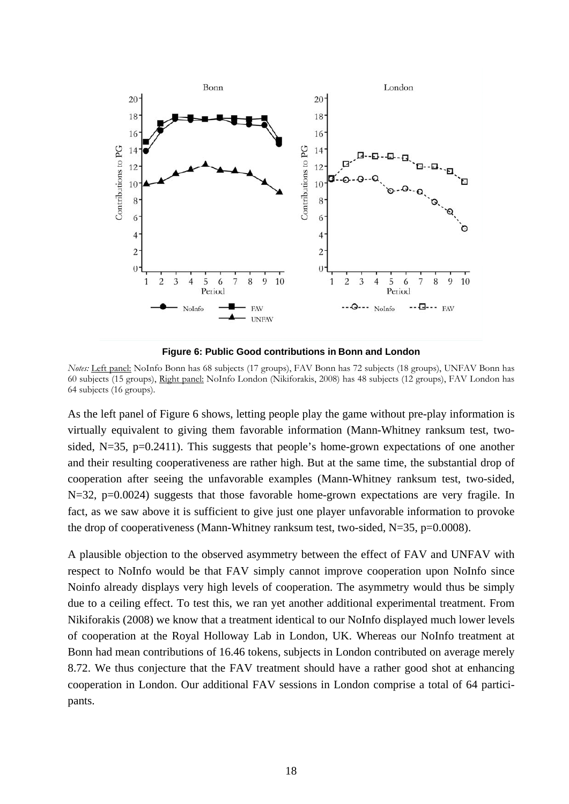

**Figure 6: Public Good contributions in Bonn and London** 

*Notes:* Left panel: NoInfo Bonn has 68 subjects (17 groups), FAV Bonn has 72 subjects (18 groups), UNFAV Bonn has 60 subjects (15 groups), Right panel: NoInfo London (Nikiforakis, 2008) has 48 subjects (12 groups), FAV London has 64 subjects (16 groups).

As the left panel of Figure 6 shows, letting people play the game without pre-play information is virtually equivalent to giving them favorable information (Mann-Whitney ranksum test, twosided, N=35, p=0.2411). This suggests that people's home-grown expectations of one another and their resulting cooperativeness are rather high. But at the same time, the substantial drop of cooperation after seeing the unfavorable examples (Mann-Whitney ranksum test, two-sided, N=32, p=0.0024) suggests that those favorable home-grown expectations are very fragile. In fact, as we saw above it is sufficient to give just one player unfavorable information to provoke the drop of cooperativeness (Mann-Whitney ranksum test, two-sided, N=35, p=0.0008).

A plausible objection to the observed asymmetry between the effect of FAV and UNFAV with respect to NoInfo would be that FAV simply cannot improve cooperation upon NoInfo since Noinfo already displays very high levels of cooperation. The asymmetry would thus be simply due to a ceiling effect. To test this, we ran yet another additional experimental treatment. From Nikiforakis (2008) we know that a treatment identical to our NoInfo displayed much lower levels of cooperation at the Royal Holloway Lab in London, UK. Whereas our NoInfo treatment at Bonn had mean contributions of 16.46 tokens, subjects in London contributed on average merely 8.72. We thus conjecture that the FAV treatment should have a rather good shot at enhancing cooperation in London. Our additional FAV sessions in London comprise a total of 64 participants.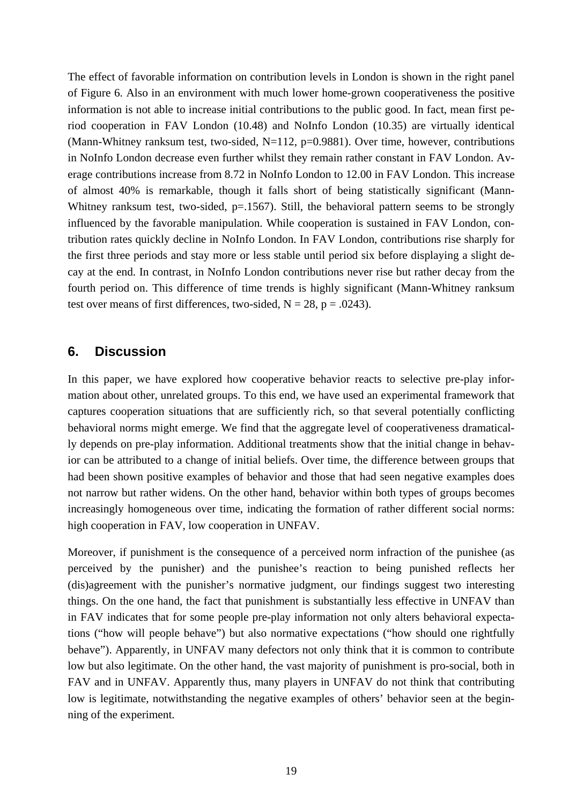The effect of favorable information on contribution levels in London is shown in the right panel of Figure 6. Also in an environment with much lower home-grown cooperativeness the positive information is not able to increase initial contributions to the public good. In fact, mean first period cooperation in FAV London (10.48) and NoInfo London (10.35) are virtually identical (Mann-Whitney ranksum test, two-sided,  $N=112$ ,  $p=0.9881$ ). Over time, however, contributions in NoInfo London decrease even further whilst they remain rather constant in FAV London. Average contributions increase from 8.72 in NoInfo London to 12.00 in FAV London. This increase of almost 40% is remarkable, though it falls short of being statistically significant (Mann-Whitney ranksum test, two-sided,  $p=1567$ ). Still, the behavioral pattern seems to be strongly influenced by the favorable manipulation. While cooperation is sustained in FAV London, contribution rates quickly decline in NoInfo London. In FAV London, contributions rise sharply for the first three periods and stay more or less stable until period six before displaying a slight decay at the end. In contrast, in NoInfo London contributions never rise but rather decay from the fourth period on. This difference of time trends is highly significant (Mann-Whitney ranksum test over means of first differences, two-sided,  $N = 28$ ,  $p = .0243$ ).

#### **6. Discussion**

In this paper, we have explored how cooperative behavior reacts to selective pre-play information about other, unrelated groups. To this end, we have used an experimental framework that captures cooperation situations that are sufficiently rich, so that several potentially conflicting behavioral norms might emerge. We find that the aggregate level of cooperativeness dramatically depends on pre-play information. Additional treatments show that the initial change in behavior can be attributed to a change of initial beliefs. Over time, the difference between groups that had been shown positive examples of behavior and those that had seen negative examples does not narrow but rather widens. On the other hand, behavior within both types of groups becomes increasingly homogeneous over time, indicating the formation of rather different social norms: high cooperation in FAV, low cooperation in UNFAV.

Moreover, if punishment is the consequence of a perceived norm infraction of the punishee (as perceived by the punisher) and the punishee's reaction to being punished reflects her (dis)agreement with the punisher's normative judgment, our findings suggest two interesting things. On the one hand, the fact that punishment is substantially less effective in UNFAV than in FAV indicates that for some people pre-play information not only alters behavioral expectations ("how will people behave") but also normative expectations ("how should one rightfully behave"). Apparently, in UNFAV many defectors not only think that it is common to contribute low but also legitimate. On the other hand, the vast majority of punishment is pro-social, both in FAV and in UNFAV. Apparently thus, many players in UNFAV do not think that contributing low is legitimate, notwithstanding the negative examples of others' behavior seen at the beginning of the experiment.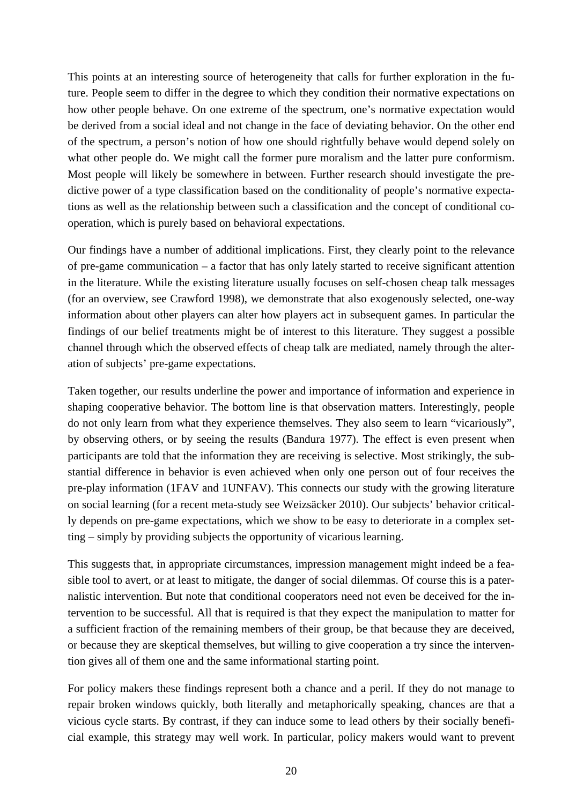This points at an interesting source of heterogeneity that calls for further exploration in the future. People seem to differ in the degree to which they condition their normative expectations on how other people behave. On one extreme of the spectrum, one's normative expectation would be derived from a social ideal and not change in the face of deviating behavior. On the other end of the spectrum, a person's notion of how one should rightfully behave would depend solely on what other people do. We might call the former pure moralism and the latter pure conformism. Most people will likely be somewhere in between. Further research should investigate the predictive power of a type classification based on the conditionality of people's normative expectations as well as the relationship between such a classification and the concept of conditional cooperation, which is purely based on behavioral expectations.

Our findings have a number of additional implications. First, they clearly point to the relevance of pre-game communication – a factor that has only lately started to receive significant attention in the literature. While the existing literature usually focuses on self-chosen cheap talk messages (for an overview, see Crawford 1998), we demonstrate that also exogenously selected, one-way information about other players can alter how players act in subsequent games. In particular the findings of our belief treatments might be of interest to this literature. They suggest a possible channel through which the observed effects of cheap talk are mediated, namely through the alteration of subjects' pre-game expectations.

Taken together, our results underline the power and importance of information and experience in shaping cooperative behavior. The bottom line is that observation matters. Interestingly, people do not only learn from what they experience themselves. They also seem to learn "vicariously", by observing others, or by seeing the results (Bandura 1977). The effect is even present when participants are told that the information they are receiving is selective. Most strikingly, the substantial difference in behavior is even achieved when only one person out of four receives the pre-play information (1FAV and 1UNFAV). This connects our study with the growing literature on social learning (for a recent meta-study see Weizsäcker 2010). Our subjects' behavior critically depends on pre-game expectations, which we show to be easy to deteriorate in a complex setting – simply by providing subjects the opportunity of vicarious learning.

This suggests that, in appropriate circumstances, impression management might indeed be a feasible tool to avert, or at least to mitigate, the danger of social dilemmas. Of course this is a paternalistic intervention. But note that conditional cooperators need not even be deceived for the intervention to be successful. All that is required is that they expect the manipulation to matter for a sufficient fraction of the remaining members of their group, be that because they are deceived, or because they are skeptical themselves, but willing to give cooperation a try since the intervention gives all of them one and the same informational starting point.

For policy makers these findings represent both a chance and a peril. If they do not manage to repair broken windows quickly, both literally and metaphorically speaking, chances are that a vicious cycle starts. By contrast, if they can induce some to lead others by their socially beneficial example, this strategy may well work. In particular, policy makers would want to prevent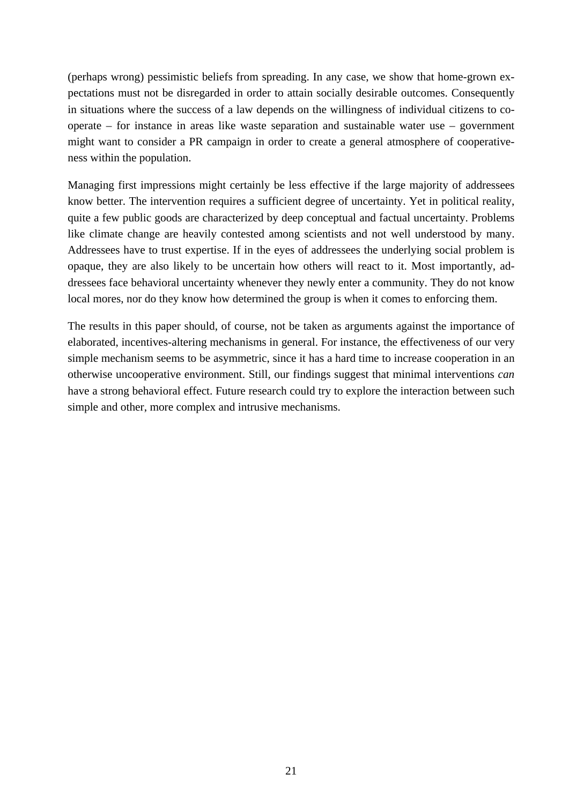(perhaps wrong) pessimistic beliefs from spreading. In any case, we show that home-grown expectations must not be disregarded in order to attain socially desirable outcomes. Consequently in situations where the success of a law depends on the willingness of individual citizens to cooperate – for instance in areas like waste separation and sustainable water use – government might want to consider a PR campaign in order to create a general atmosphere of cooperativeness within the population.

Managing first impressions might certainly be less effective if the large majority of addressees know better. The intervention requires a sufficient degree of uncertainty. Yet in political reality, quite a few public goods are characterized by deep conceptual and factual uncertainty. Problems like climate change are heavily contested among scientists and not well understood by many. Addressees have to trust expertise. If in the eyes of addressees the underlying social problem is opaque, they are also likely to be uncertain how others will react to it. Most importantly, addressees face behavioral uncertainty whenever they newly enter a community. They do not know local mores, nor do they know how determined the group is when it comes to enforcing them.

The results in this paper should, of course, not be taken as arguments against the importance of elaborated, incentives-altering mechanisms in general. For instance, the effectiveness of our very simple mechanism seems to be asymmetric, since it has a hard time to increase cooperation in an otherwise uncooperative environment. Still, our findings suggest that minimal interventions *can* have a strong behavioral effect. Future research could try to explore the interaction between such simple and other, more complex and intrusive mechanisms.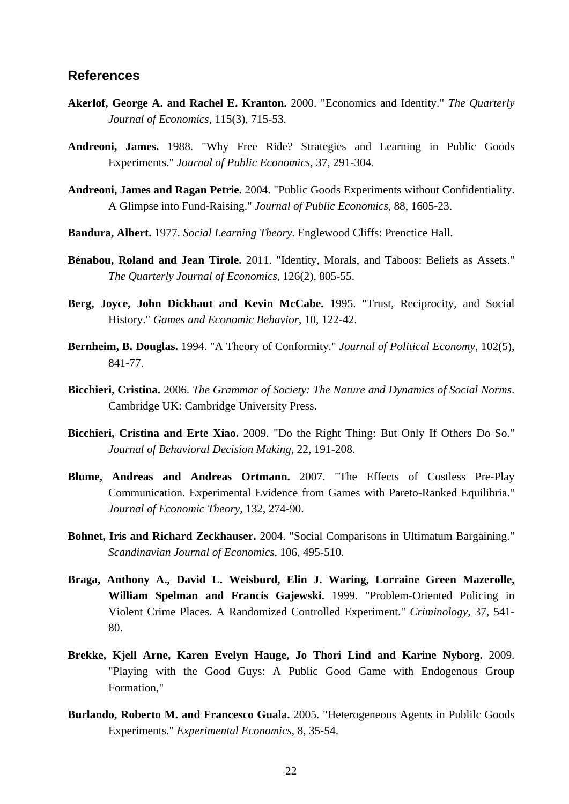#### **References**

- **Akerlof, George A. and Rachel E. Kranton.** 2000. "Economics and Identity." *The Quarterly Journal of Economics*, 115(3), 715-53.
- **Andreoni, James.** 1988. "Why Free Ride? Strategies and Learning in Public Goods Experiments." *Journal of Public Economics*, 37, 291-304.
- **Andreoni, James and Ragan Petrie.** 2004. "Public Goods Experiments without Confidentiality. A Glimpse into Fund-Raising." *Journal of Public Economics*, 88, 1605-23.
- **Bandura, Albert.** 1977. *Social Learning Theory*. Englewood Cliffs: Prenctice Hall.
- **Bénabou, Roland and Jean Tirole.** 2011. "Identity, Morals, and Taboos: Beliefs as Assets." *The Quarterly Journal of Economics*, 126(2), 805-55.
- **Berg, Joyce, John Dickhaut and Kevin McCabe.** 1995. "Trust, Reciprocity, and Social History." *Games and Economic Behavior*, 10, 122-42.
- **Bernheim, B. Douglas.** 1994. "A Theory of Conformity." *Journal of Political Economy*, 102(5), 841-77.
- **Bicchieri, Cristina.** 2006. *The Grammar of Society: The Nature and Dynamics of Social Norms*. Cambridge UK: Cambridge University Press.
- **Bicchieri, Cristina and Erte Xiao.** 2009. "Do the Right Thing: But Only If Others Do So." *Journal of Behavioral Decision Making*, 22, 191-208.
- **Blume, Andreas and Andreas Ortmann.** 2007. "The Effects of Costless Pre-Play Communication. Experimental Evidence from Games with Pareto-Ranked Equilibria." *Journal of Economic Theory*, 132, 274-90.
- **Bohnet, Iris and Richard Zeckhauser.** 2004. "Social Comparisons in Ultimatum Bargaining." *Scandinavian Journal of Economics*, 106, 495-510.
- **Braga, Anthony A., David L. Weisburd, Elin J. Waring, Lorraine Green Mazerolle, William Spelman and Francis Gajewski.** 1999. "Problem-Oriented Policing in Violent Crime Places. A Randomized Controlled Experiment." *Criminology*, 37, 541- 80.
- **Brekke, Kjell Arne, Karen Evelyn Hauge, Jo Thori Lind and Karine Nyborg.** 2009. "Playing with the Good Guys: A Public Good Game with Endogenous Group Formation,"
- **Burlando, Roberto M. and Francesco Guala.** 2005. "Heterogeneous Agents in Publilc Goods Experiments." *Experimental Economics*, 8, 35-54.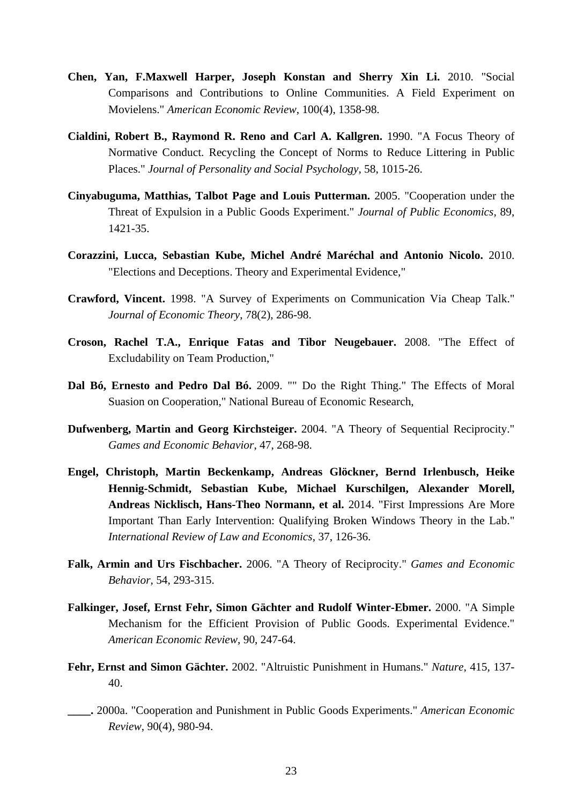- **Chen, Yan, F.Maxwell Harper, Joseph Konstan and Sherry Xin Li.** 2010. "Social Comparisons and Contributions to Online Communities. A Field Experiment on Movielens." *American Economic Review*, 100(4), 1358-98.
- **Cialdini, Robert B., Raymond R. Reno and Carl A. Kallgren.** 1990. "A Focus Theory of Normative Conduct. Recycling the Concept of Norms to Reduce Littering in Public Places." *Journal of Personality and Social Psychology*, 58, 1015-26.
- **Cinyabuguma, Matthias, Talbot Page and Louis Putterman.** 2005. "Cooperation under the Threat of Expulsion in a Public Goods Experiment." *Journal of Public Economics*, 89, 1421-35.
- **Corazzini, Lucca, Sebastian Kube, Michel André Maréchal and Antonio Nicolo.** 2010. "Elections and Deceptions. Theory and Experimental Evidence,"
- **Crawford, Vincent.** 1998. "A Survey of Experiments on Communication Via Cheap Talk." *Journal of Economic Theory*, 78(2), 286-98.
- **Croson, Rachel T.A., Enrique Fatas and Tibor Neugebauer.** 2008. "The Effect of Excludability on Team Production,"
- **Dal Bó, Ernesto and Pedro Dal Bó.** 2009. "" Do the Right Thing." The Effects of Moral Suasion on Cooperation," National Bureau of Economic Research,
- **Dufwenberg, Martin and Georg Kirchsteiger.** 2004. "A Theory of Sequential Reciprocity." *Games and Economic Behavior*, 47, 268-98.
- **Engel, Christoph, Martin Beckenkamp, Andreas Glöckner, Bernd Irlenbusch, Heike Hennig-Schmidt, Sebastian Kube, Michael Kurschilgen, Alexander Morell, Andreas Nicklisch, Hans-Theo Normann, et al.** 2014. "First Impressions Are More Important Than Early Intervention: Qualifying Broken Windows Theory in the Lab." *International Review of Law and Economics*, 37, 126-36.
- **Falk, Armin and Urs Fischbacher.** 2006. "A Theory of Reciprocity." *Games and Economic Behavior*, 54, 293-315.
- **Falkinger, Josef, Ernst Fehr, Simon Gächter and Rudolf Winter-Ebmer.** 2000. "A Simple Mechanism for the Efficient Provision of Public Goods. Experimental Evidence." *American Economic Review*, 90, 247-64.
- **Fehr, Ernst and Simon Gächter.** 2002. "Altruistic Punishment in Humans." *Nature*, 415, 137- 40.
- **\_\_\_\_.** 2000a. "Cooperation and Punishment in Public Goods Experiments." *American Economic Review*, 90(4), 980-94.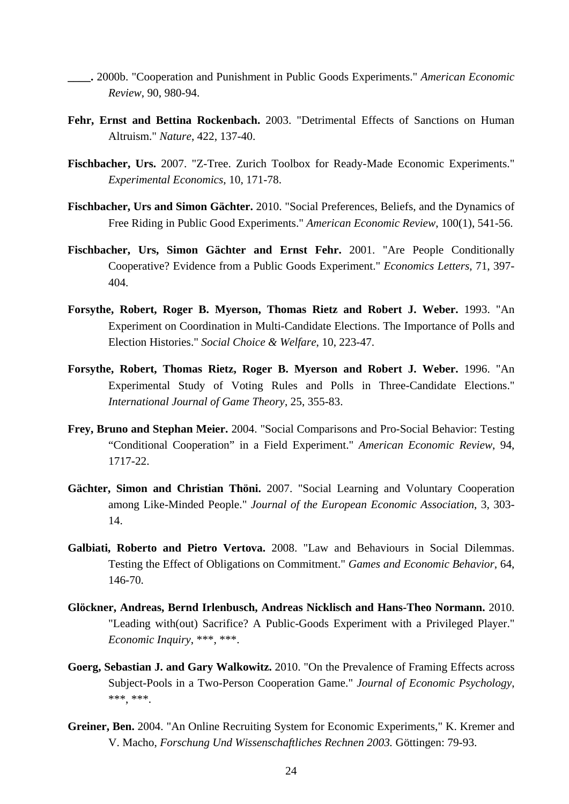- **\_\_\_\_.** 2000b. "Cooperation and Punishment in Public Goods Experiments." *American Economic Review*, 90, 980-94.
- Fehr, Ernst and Bettina Rockenbach. 2003. "Detrimental Effects of Sanctions on Human Altruism." *Nature*, 422, 137-40.
- **Fischbacher, Urs.** 2007. "Z-Tree. Zurich Toolbox for Ready-Made Economic Experiments." *Experimental Economics*, 10, 171-78.
- **Fischbacher, Urs and Simon Gächter.** 2010. "Social Preferences, Beliefs, and the Dynamics of Free Riding in Public Good Experiments." *American Economic Review*, 100(1), 541-56.
- **Fischbacher, Urs, Simon Gächter and Ernst Fehr.** 2001. "Are People Conditionally Cooperative? Evidence from a Public Goods Experiment." *Economics Letters*, 71, 397- 404.
- **Forsythe, Robert, Roger B. Myerson, Thomas Rietz and Robert J. Weber.** 1993. "An Experiment on Coordination in Multi-Candidate Elections. The Importance of Polls and Election Histories." *Social Choice & Welfare*, 10, 223-47.
- **Forsythe, Robert, Thomas Rietz, Roger B. Myerson and Robert J. Weber.** 1996. "An Experimental Study of Voting Rules and Polls in Three-Candidate Elections." *International Journal of Game Theory*, 25, 355-83.
- **Frey, Bruno and Stephan Meier.** 2004. "Social Comparisons and Pro-Social Behavior: Testing "Conditional Cooperation" in a Field Experiment." *American Economic Review*, 94, 1717-22.
- **Gächter, Simon and Christian Thöni.** 2007. "Social Learning and Voluntary Cooperation among Like-Minded People." *Journal of the European Economic Association*, 3, 303- 14.
- **Galbiati, Roberto and Pietro Vertova.** 2008. "Law and Behaviours in Social Dilemmas. Testing the Effect of Obligations on Commitment." *Games and Economic Behavior*, 64, 146-70.
- **Glöckner, Andreas, Bernd Irlenbusch, Andreas Nicklisch and Hans-Theo Normann.** 2010. "Leading with(out) Sacrifice? A Public-Goods Experiment with a Privileged Player." *Economic Inquiry*, \*\*\*, \*\*\*.
- **Goerg, Sebastian J. and Gary Walkowitz.** 2010. "On the Prevalence of Framing Effects across Subject-Pools in a Two-Person Cooperation Game." *Journal of Economic Psychology*, \*\*\*, \*\*\*.
- **Greiner, Ben.** 2004. "An Online Recruiting System for Economic Experiments," K. Kremer and V. Macho, *Forschung Und Wissenschaftliches Rechnen 2003.* Göttingen: 79-93.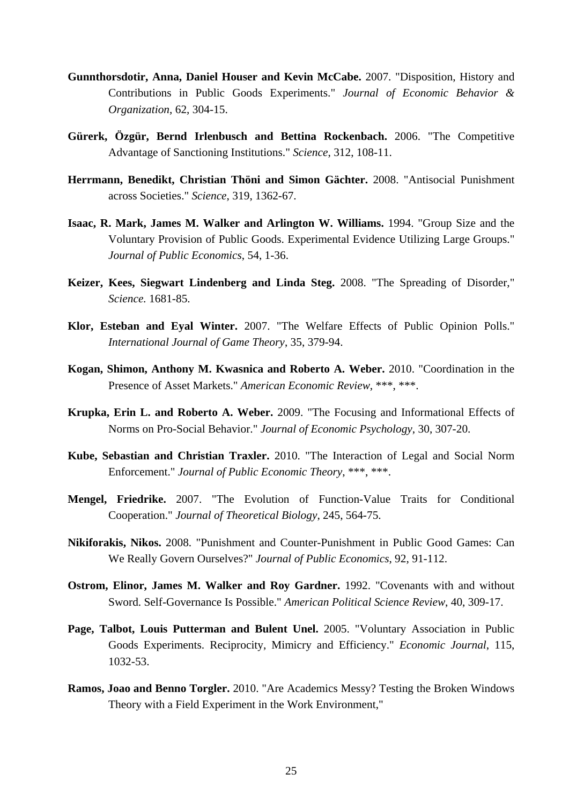- **Gunnthorsdotir, Anna, Daniel Houser and Kevin McCabe.** 2007. "Disposition, History and Contributions in Public Goods Experiments." *Journal of Economic Behavior & Organization*, 62, 304-15.
- **Gürerk, Özgür, Bernd Irlenbusch and Bettina Rockenbach.** 2006. "The Competitive Advantage of Sanctioning Institutions." *Science*, 312, 108-11.
- **Herrmann, Benedikt, Christian Thöni and Simon Gächter.** 2008. "Antisocial Punishment across Societies." *Science*, 319, 1362-67.
- **Isaac, R. Mark, James M. Walker and Arlington W. Williams.** 1994. "Group Size and the Voluntary Provision of Public Goods. Experimental Evidence Utilizing Large Groups." *Journal of Public Economics*, 54, 1-36.
- **Keizer, Kees, Siegwart Lindenberg and Linda Steg.** 2008. "The Spreading of Disorder," *Science.* 1681-85.
- **Klor, Esteban and Eyal Winter.** 2007. "The Welfare Effects of Public Opinion Polls." *International Journal of Game Theory*, 35, 379-94.
- **Kogan, Shimon, Anthony M. Kwasnica and Roberto A. Weber.** 2010. "Coordination in the Presence of Asset Markets." *American Economic Review*, \*\*\*, \*\*\*.
- **Krupka, Erin L. and Roberto A. Weber.** 2009. "The Focusing and Informational Effects of Norms on Pro-Social Behavior." *Journal of Economic Psychology*, 30, 307-20.
- **Kube, Sebastian and Christian Traxler.** 2010. "The Interaction of Legal and Social Norm Enforcement." *Journal of Public Economic Theory*, \*\*\*, \*\*\*.
- **Mengel, Friedrike.** 2007. "The Evolution of Function-Value Traits for Conditional Cooperation." *Journal of Theoretical Biology*, 245, 564-75.
- **Nikiforakis, Nikos.** 2008. "Punishment and Counter-Punishment in Public Good Games: Can We Really Govern Ourselves?" *Journal of Public Economics*, 92, 91-112.
- **Ostrom, Elinor, James M. Walker and Roy Gardner.** 1992. "Covenants with and without Sword. Self-Governance Is Possible." *American Political Science Review*, 40, 309-17.
- **Page, Talbot, Louis Putterman and Bulent Unel.** 2005. "Voluntary Association in Public Goods Experiments. Reciprocity, Mimicry and Efficiency." *Economic Journal*, 115, 1032-53.
- **Ramos, Joao and Benno Torgler.** 2010. "Are Academics Messy? Testing the Broken Windows Theory with a Field Experiment in the Work Environment,"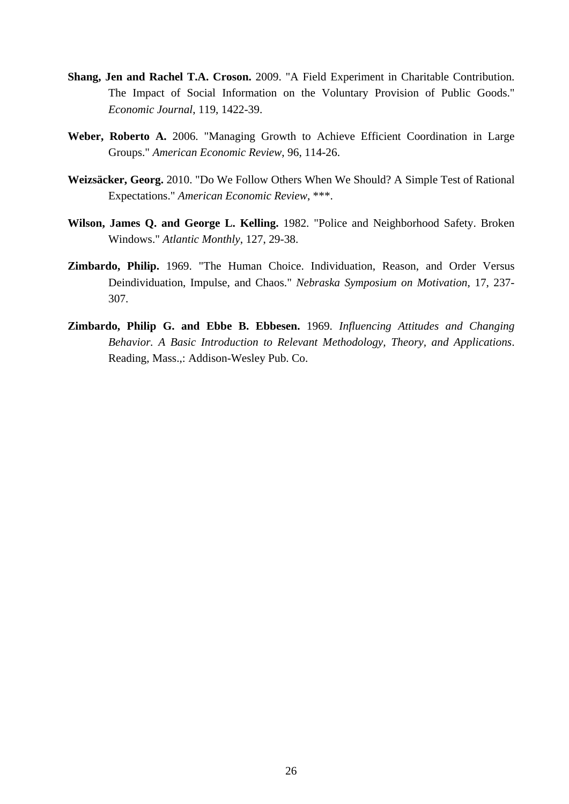- **Shang, Jen and Rachel T.A. Croson.** 2009. "A Field Experiment in Charitable Contribution. The Impact of Social Information on the Voluntary Provision of Public Goods." *Economic Journal*, 119, 1422-39.
- **Weber, Roberto A.** 2006. "Managing Growth to Achieve Efficient Coordination in Large Groups." *American Economic Review*, 96, 114-26.
- **Weizsäcker, Georg.** 2010. "Do We Follow Others When We Should? A Simple Test of Rational Expectations." *American Economic Review*, \*\*\*.
- **Wilson, James Q. and George L. Kelling.** 1982. "Police and Neighborhood Safety. Broken Windows." *Atlantic Monthly*, 127, 29-38.
- **Zimbardo, Philip.** 1969. "The Human Choice. Individuation, Reason, and Order Versus Deindividuation, Impulse, and Chaos." *Nebraska Symposium on Motivation*, 17, 237- 307.
- **Zimbardo, Philip G. and Ebbe B. Ebbesen.** 1969. *Influencing Attitudes and Changing Behavior. A Basic Introduction to Relevant Methodology, Theory, and Applications*. Reading, Mass.,: Addison-Wesley Pub. Co.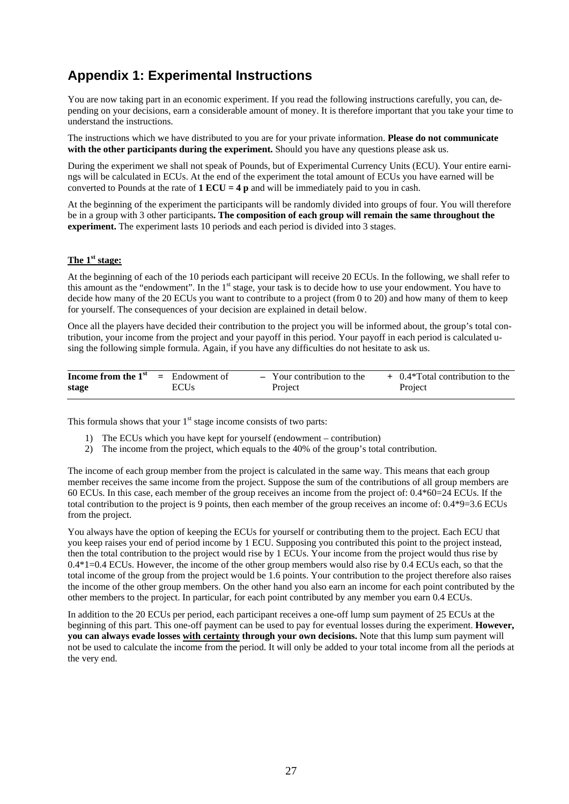## **Appendix 1: Experimental Instructions**

You are now taking part in an economic experiment. If you read the following instructions carefully, you can, depending on your decisions, earn a considerable amount of money. It is therefore important that you take your time to understand the instructions.

The instructions which we have distributed to you are for your private information. **Please do not communicate with the other participants during the experiment.** Should you have any questions please ask us.

During the experiment we shall not speak of Pounds, but of Experimental Currency Units (ECU). Your entire earnings will be calculated in ECUs. At the end of the experiment the total amount of ECUs you have earned will be converted to Pounds at the rate of **1 ECU = 4 p** and will be immediately paid to you in cash.

At the beginning of the experiment the participants will be randomly divided into groups of four. You will therefore be in a group with 3 other participants**. The composition of each group will remain the same throughout the experiment.** The experiment lasts 10 periods and each period is divided into 3 stages.

#### **The 1st stage:**

At the beginning of each of the 10 periods each participant will receive 20 ECUs. In the following, we shall refer to this amount as the "endowment". In the 1<sup>st</sup> stage, your task is to decide how to use your endowment. You have to decide how many of the 20 ECUs you want to contribute to a project (from 0 to 20) and how many of them to keep for yourself. The consequences of your decision are explained in detail below.

Once all the players have decided their contribution to the project you will be informed about, the group's total contribution, your income from the project and your payoff in this period. Your payoff in each period is calculated using the following simple formula. Again, if you have any difficulties do not hesitate to ask us.

| <b>Income from the <math>1^{st}</math></b> = Endowment of |             | - Your contribution to the | + 0.4*Total contribution to the |
|-----------------------------------------------------------|-------------|----------------------------|---------------------------------|
| stage                                                     | <b>ECUs</b> | Project                    | Project                         |

This formula shows that your  $1<sup>st</sup>$  stage income consists of two parts:

- 1) The ECUs which you have kept for yourself (endowment contribution)
- 2) The income from the project, which equals to the 40% of the group's total contribution.

The income of each group member from the project is calculated in the same way. This means that each group member receives the same income from the project. Suppose the sum of the contributions of all group members are 60 ECUs. In this case, each member of the group receives an income from the project of: 0.4\*60=24 ECUs. If the total contribution to the project is 9 points, then each member of the group receives an income of: 0.4\*9=3.6 ECUs from the project.

You always have the option of keeping the ECUs for yourself or contributing them to the project. Each ECU that you keep raises your end of period income by 1 ECU. Supposing you contributed this point to the project instead, then the total contribution to the project would rise by 1 ECUs. Your income from the project would thus rise by 0.4\*1=0.4 ECUs. However, the income of the other group members would also rise by 0.4 ECUs each, so that the total income of the group from the project would be 1.6 points. Your contribution to the project therefore also raises the income of the other group members. On the other hand you also earn an income for each point contributed by the other members to the project. In particular, for each point contributed by any member you earn 0.4 ECUs.

In addition to the 20 ECUs per period, each participant receives a one-off lump sum payment of 25 ECUs at the beginning of this part. This one-off payment can be used to pay for eventual losses during the experiment. **However, you can always evade losses with certainty through your own decisions.** Note that this lump sum payment will not be used to calculate the income from the period. It will only be added to your total income from all the periods at the very end.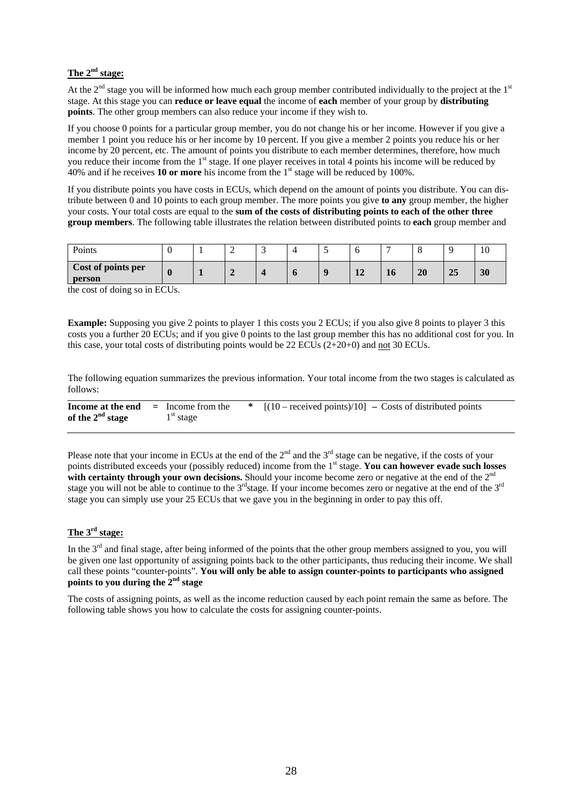#### **The 2nd stage:**

At the  $2<sup>nd</sup>$  stage you will be informed how much each group member contributed individually to the project at the  $1<sup>st</sup>$ stage. At this stage you can **reduce or leave equal** the income of **each** member of your group by **distributing points**. The other group members can also reduce your income if they wish to.

If you choose 0 points for a particular group member, you do not change his or her income. However if you give a member 1 point you reduce his or her income by 10 percent. If you give a member 2 points you reduce his or her income by 20 percent, etc. The amount of points you distribute to each member determines, therefore, how much you reduce their income from the 1<sup>st</sup> stage. If one player receives in total 4 points his income will be reduced by 40% and if he receives **10 or more** his income from the 1st stage will be reduced by 100%.

If you distribute points you have costs in ECUs, which depend on the amount of points you distribute. You can distribute between 0 and 10 points to each group member. The more points you give **to any** group member, the higher your costs. Your total costs are equal to the **sum of the costs of distributing points to each of the other three group members**. The following table illustrates the relation between distributed points to **each** group member and

| Points                       |  | <b>__</b> | $\overline{\phantom{a}}$ |                        | -  |    |    |    |
|------------------------------|--|-----------|--------------------------|------------------------|----|----|----|----|
| Cost of points per<br>person |  |           | n                        | $\epsilon$<br>$\bf{L}$ | 10 | 20 | 25 | 30 |

the cost of doing so in ECUs.

**Example:** Supposing you give 2 points to player 1 this costs you 2 ECUs; if you also give 8 points to player 3 this costs you a further 20 ECUs; and if you give 0 points to the last group member this has no additional cost for you. In this case, your total costs of distributing points would be 22 ECUs  $(2+20+0)$  and not 30 ECUs.

The following equation summarizes the previous information. Your total income from the two stages is calculated as follows:

| Income at the end  | $=$ Income from the | * $[(10 - received points)/10] - \text{Costs of distributed points}]$ |
|--------------------|---------------------|-----------------------------------------------------------------------|
| of the $2nd$ stage | $1st$ stage         |                                                                       |

Please note that your income in ECUs at the end of the  $2^{nd}$  and the  $3^{rd}$  stage can be negative, if the costs of your points distributed exceeds your (possibly reduced) income from the 1st stage. **You can however evade such losses**  with certainty through your own decisions. Should your income become zero or negative at the end of the 2<sup>nd</sup> stage you will not be able to continue to the  $3^{rd}$ stage. If your income becomes zero or negative at the end of the  $3^{rd}$ stage you can simply use your 25 ECUs that we gave you in the beginning in order to pay this off.

#### **The 3rd stage:**

In the 3<sup>rd</sup> and final stage, after being informed of the points that the other group members assigned to you, you will be given one last opportunity of assigning points back to the other participants, thus reducing their income. We shall call these points "counter-points". **You will only be able to assign counter-points to participants who assigned points to you during the 2nd stage** 

The costs of assigning points, as well as the income reduction caused by each point remain the same as before. The following table shows you how to calculate the costs for assigning counter-points.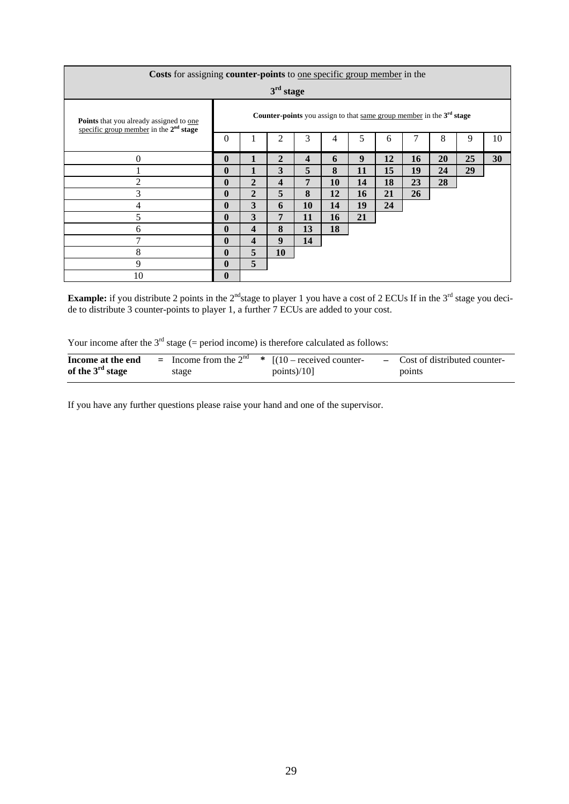| Costs for assigning counter-points to one specific group member in the                     |              |                                                                               |                         |                         |    |    |    |    |           |    |    |
|--------------------------------------------------------------------------------------------|--------------|-------------------------------------------------------------------------------|-------------------------|-------------------------|----|----|----|----|-----------|----|----|
| $3rd$ stage                                                                                |              |                                                                               |                         |                         |    |    |    |    |           |    |    |
| <b>Points</b> that you already assigned to one<br>specific group member in the $2nd$ stage |              | <b>Counter-points</b> you assign to that same group member in the $3rd$ stage |                         |                         |    |    |    |    |           |    |    |
|                                                                                            | $\Omega$     |                                                                               | 2                       | 3                       | 4  | 5  | 6  |    | 8         | 9  | 10 |
| $\overline{0}$                                                                             | $\mathbf{0}$ | 1                                                                             | $\overline{2}$          | $\overline{\mathbf{4}}$ | 6  | 9  | 12 | 16 | <b>20</b> | 25 | 30 |
|                                                                                            | 0            |                                                                               | 3                       | 5                       | 8  | 11 | 15 | 19 | 24        | 29 |    |
| $\overline{2}$                                                                             | $\mathbf{0}$ | $\overline{2}$                                                                | $\overline{\mathbf{4}}$ | 7                       | 10 | 14 | 18 | 23 | 28        |    |    |
| 3                                                                                          | $\bf{0}$     | $\overline{2}$                                                                | 5                       | 8                       | 12 | 16 | 21 | 26 |           |    |    |
| 4                                                                                          | $\mathbf{0}$ | 3                                                                             | 6                       | 10                      | 14 | 19 | 24 |    |           |    |    |
| 5                                                                                          | $\mathbf{0}$ | 3                                                                             | 7                       | 11                      | 16 | 21 |    |    |           |    |    |
| 6                                                                                          | $\mathbf{0}$ | $\overline{\mathbf{4}}$                                                       | 8                       | 13                      | 18 |    |    |    |           |    |    |
| 7                                                                                          | $\mathbf{0}$ | $\overline{\mathbf{4}}$                                                       | 9                       | 14                      |    |    |    |    |           |    |    |
| 8                                                                                          | $\mathbf{0}$ | 5                                                                             | 10                      |                         |    |    |    |    |           |    |    |
| 9                                                                                          | $\mathbf{0}$ | 5                                                                             |                         |                         |    |    |    |    |           |    |    |
| 10                                                                                         | 0            |                                                                               |                         |                         |    |    |    |    |           |    |    |

**Example:** if you distribute 2 points in the  $2^{nd}$ stage to player 1 you have a cost of 2 ECUs If in the  $3^{rd}$  stage you decide to distribute 3 counter-points to player 1, a further 7 ECUs are added to your cost.

Your income after the  $3<sup>rd</sup>$  stage (= period income) is therefore calculated as follows:

| Income at the end  |       | = Income from the $2^{nd}$ * $[(10 - received counter-$ | - Cost of distributed counter- |
|--------------------|-------|---------------------------------------------------------|--------------------------------|
| of the $3rd$ stage | stage | points $)/10$ ]                                         | points                         |

If you have any further questions please raise your hand and one of the supervisor.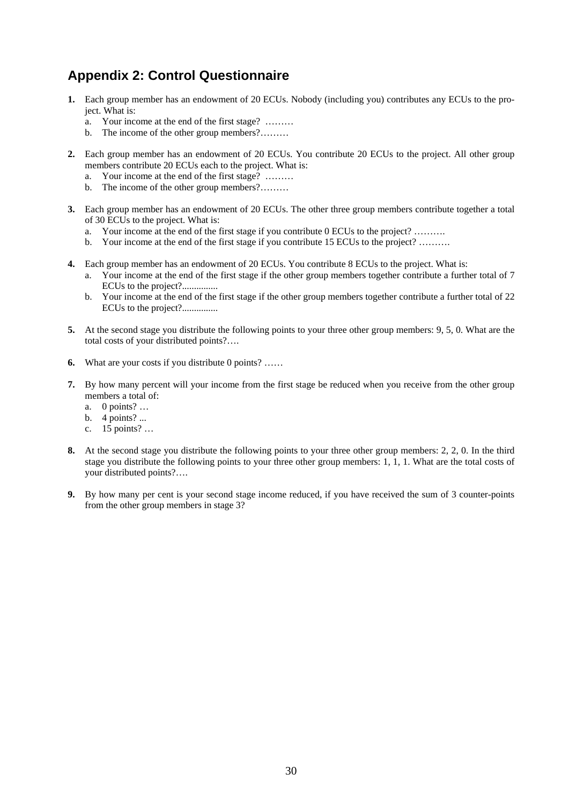## **Appendix 2: Control Questionnaire**

- **1.** Each group member has an endowment of 20 ECUs. Nobody (including you) contributes any ECUs to the project. What is:
	- a. Your income at the end of the first stage? ………
	- b. The income of the other group members?………
- **2.** Each group member has an endowment of 20 ECUs. You contribute 20 ECUs to the project. All other group members contribute 20 ECUs each to the project. What is:
	- a. Your income at the end of the first stage? ………
	- b. The income of the other group members?………
- **3.** Each group member has an endowment of 20 ECUs. The other three group members contribute together a total of 30 ECUs to the project. What is:
	- a. Your income at the end of the first stage if you contribute 0 ECUs to the project? ……….
	- b. Your income at the end of the first stage if you contribute 15 ECUs to the project? ……….
- **4.** Each group member has an endowment of 20 ECUs. You contribute 8 ECUs to the project. What is:
	- a. Your income at the end of the first stage if the other group members together contribute a further total of 7 ECUs to the project?...............
	- b. Your income at the end of the first stage if the other group members together contribute a further total of 22 ECUs to the project?...............
- **5.** At the second stage you distribute the following points to your three other group members: 9, 5, 0. What are the total costs of your distributed points?….
- **6.** What are your costs if you distribute 0 points? ……
- **7.** By how many percent will your income from the first stage be reduced when you receive from the other group members a total of:
	- a. 0 points? …
	- b.  $4$  points? ...
	- c. 15 points? …
- **8.** At the second stage you distribute the following points to your three other group members: 2, 2, 0. In the third stage you distribute the following points to your three other group members: 1, 1, 1. What are the total costs of your distributed points?….
- **9.** By how many per cent is your second stage income reduced, if you have received the sum of 3 counter-points from the other group members in stage 3?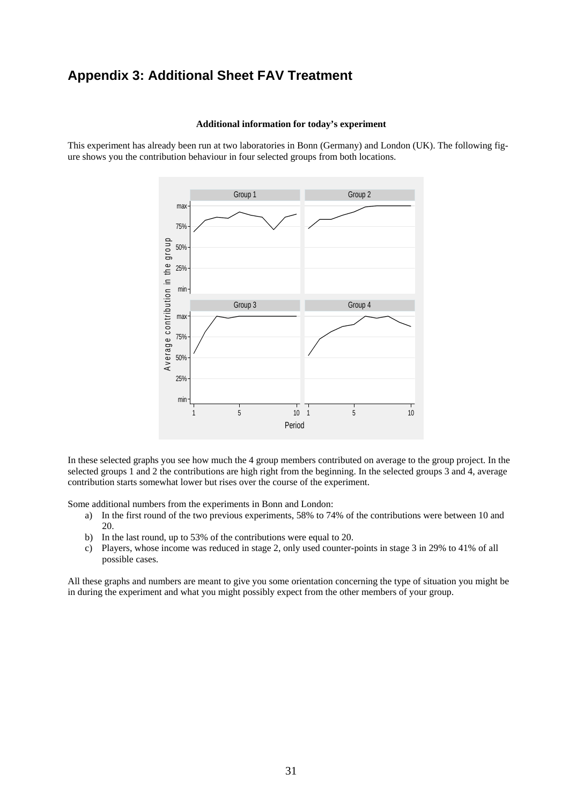## **Appendix 3: Additional Sheet FAV Treatment**

#### **Additional information for today's experiment**

This experiment has already been run at two laboratories in Bonn (Germany) and London (UK). The following figure shows you the contribution behaviour in four selected groups from both locations.



In these selected graphs you see how much the 4 group members contributed on average to the group project. In the selected groups 1 and 2 the contributions are high right from the beginning. In the selected groups 3 and 4, average contribution starts somewhat lower but rises over the course of the experiment.

Some additional numbers from the experiments in Bonn and London:

- a) In the first round of the two previous experiments, 58% to 74% of the contributions were between 10 and 20.
- b) In the last round, up to 53% of the contributions were equal to 20.
- c) Players, whose income was reduced in stage 2, only used counter-points in stage 3 in 29% to 41% of all possible cases.

All these graphs and numbers are meant to give you some orientation concerning the type of situation you might be in during the experiment and what you might possibly expect from the other members of your group.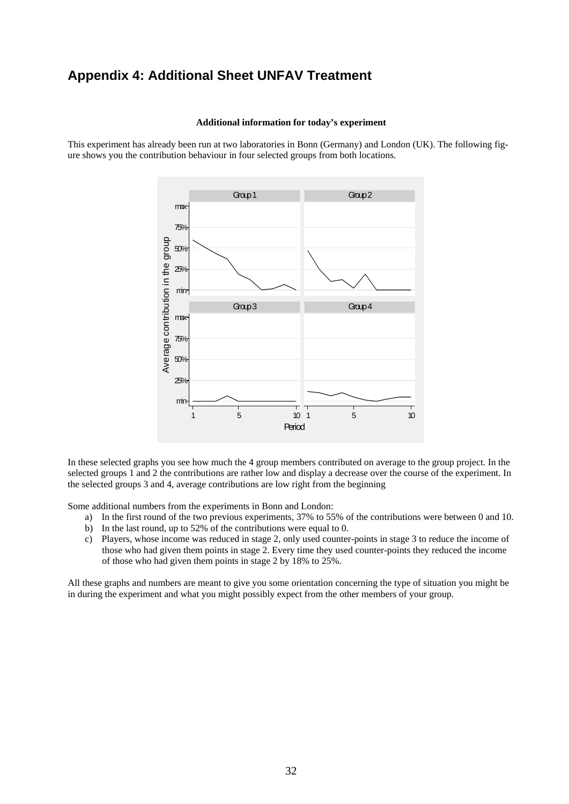## **Appendix 4: Additional Sheet UNFAV Treatment**

#### **Additional information for today's experiment**

This experiment has already been run at two laboratories in Bonn (Germany) and London (UK). The following figure shows you the contribution behaviour in four selected groups from both locations.



In these selected graphs you see how much the 4 group members contributed on average to the group project. In the selected groups 1 and 2 the contributions are rather low and display a decrease over the course of the experiment. In the selected groups 3 and 4, average contributions are low right from the beginning

Some additional numbers from the experiments in Bonn and London:

- a) In the first round of the two previous experiments, 37% to 55% of the contributions were between 0 and 10.
- b) In the last round, up to 52% of the contributions were equal to 0.
- c) Players, whose income was reduced in stage 2, only used counter-points in stage 3 to reduce the income of those who had given them points in stage 2. Every time they used counter-points they reduced the income of those who had given them points in stage 2 by 18% to 25%.

All these graphs and numbers are meant to give you some orientation concerning the type of situation you might be in during the experiment and what you might possibly expect from the other members of your group.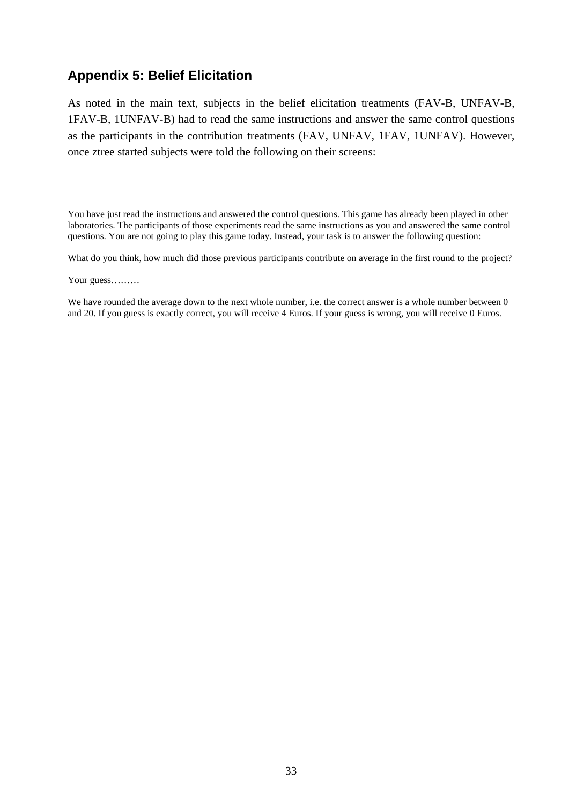## **Appendix 5: Belief Elicitation**

As noted in the main text, subjects in the belief elicitation treatments (FAV-B, UNFAV-B, 1FAV-B, 1UNFAV-B) had to read the same instructions and answer the same control questions as the participants in the contribution treatments (FAV, UNFAV, 1FAV, 1UNFAV). However, once ztree started subjects were told the following on their screens:

You have just read the instructions and answered the control questions. This game has already been played in other laboratories. The participants of those experiments read the same instructions as you and answered the same control questions. You are not going to play this game today. Instead, your task is to answer the following question:

What do you think, how much did those previous participants contribute on average in the first round to the project?

Your guess………

We have rounded the average down to the next whole number, i.e. the correct answer is a whole number between 0 and 20. If you guess is exactly correct, you will receive 4 Euros. If your guess is wrong, you will receive 0 Euros.